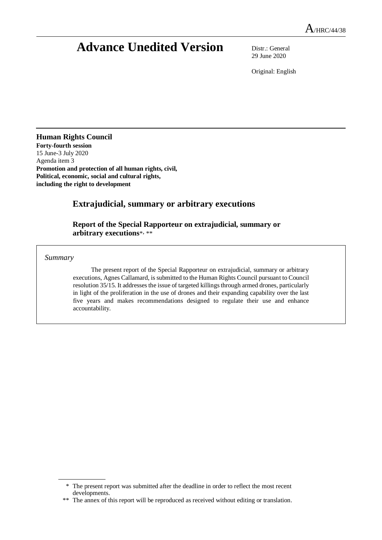# **Advance Unedited Version** Distr.: General

29 June 2020

Original: English

### **Human Rights Council**

**Forty-fourth session** 15 June-3 July 2020 Agenda item 3 **Promotion and protection of all human rights, civil, Political, economic, social and cultural rights, including the right to development**

# **Extrajudicial, summary or arbitrary executions**

**Report of the Special Rapporteur on extrajudicial, summary or arbitrary executions**\* , \*\*

*Summary*

The present report of the Special Rapporteur on extrajudicial, summary or arbitrary executions, Agnes Callamard, is submitted to the Human Rights Council pursuant to Council resolution 35/15. It addresses the issue of targeted killings through armed drones, particularly in light of the proliferation in the use of drones and their expanding capability over the last five years and makes recommendations designed to regulate their use and enhance accountability.

<sup>\*</sup> The present report was submitted after the deadline in order to reflect the most recent developments.

<sup>\*\*</sup> The annex of this report will be reproduced as received without editing or translation.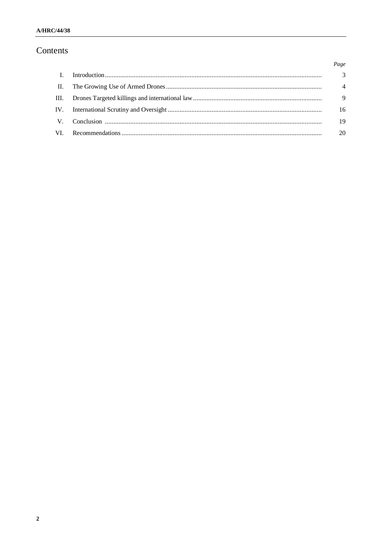# Contents

|                | Page           |
|----------------|----------------|
| $\mathbf{L}$   | 3              |
| $\mathbf{H}$ . | $\overline{4}$ |
| III.           | 9              |
|                | 16             |
| $V_{\perp}$    | 19             |
| VI.            | 20             |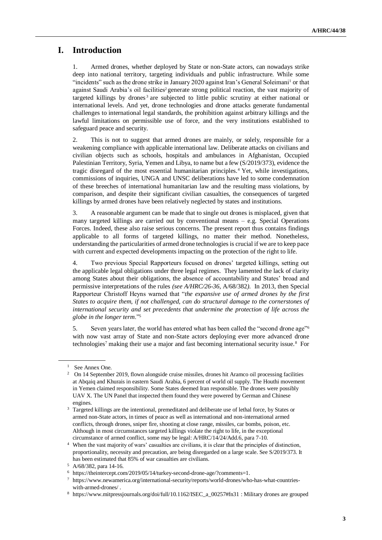# **I. Introduction**

1. Armed drones, whether deployed by State or non-State actors, can nowadays strike deep into national territory, targeting individuals and public infrastructure. While some "incidents" such as the drone strike in January 2020 against Iran's General Soleimani<sup>1</sup> or that against Saudi Arabia's oil facilities<sup>2</sup> generate strong political reaction, the vast majority of targeted killings by drones<sup>3</sup> are subjected to little public scrutiny at either national or international levels. And yet, drone technologies and drone attacks generate fundamental challenges to international legal standards, the prohibition against arbitrary killings and the lawful limitations on permissible use of force, and the very institutions established to safeguard peace and security.

2. This is not to suggest that armed drones are mainly, or solely, responsible for a weakening compliance with applicable international law. Deliberate attacks on civilians and civilian objects such as schools, hospitals and ambulances in Afghanistan, Occupied Palestinian Territory, Syria, Yemen and Libya, to name but a few (S/2019/373), evidence the tragic disregard of the most essential humanitarian principles.<sup>4</sup> Yet, while investigations, commissions of inquiries, UNGA and UNSC deliberations have led to some condemnation of these breeches of international humanitarian law and the resulting mass violations, by comparison, and despite their significant civilian casualties, the consequences of targeted killings by armed drones have been relatively neglected by states and institutions.

3. A reasonable argument can be made that to single out drones is misplaced, given that many targeted killings are carried out by conventional means – e.g. Special Operations Forces. Indeed, these also raise serious concerns. The present report thus contains findings applicable to all forms of targeted killings, no matter their method. Nonetheless, understanding the particularities of armed drone technologies is crucial if we are to keep pace with current and expected developments impacting on the protection of the right to life.

4. Two previous Special Rapporteurs focused on drones' targeted killings, setting out the applicable legal obligations under three legal regimes. They lamented the lack of clarity among States about their obligations, the absence of accountability and States' broad and permissive interpretations of the rules *(see A/HRC/26-36,* A/68/382*)*. In 2013, then Special Rapporteur Christoff Heyns warned that "*the expansive use of armed drones by the first States to acquire them, if not challenged, can do structural damage to the cornerstones of international security and set precedents that undermine the protection of life across the globe in the longer term*."<sup>5</sup>

5. Seven years later, the world has entered what has been called the "second drone age"<sup>6</sup> with now vast array of State and non-State actors deploying ever more advanced drone technologies<sup>7</sup> making their use a major and fast becoming international security issue.<sup>8</sup> For

<sup>&</sup>lt;sup>1</sup> See Annex One.

<sup>&</sup>lt;sup>2</sup> On 14 September 2019, flown alongside cruise missiles, drones hit Aramco oil processing facilities at Abqaiq and Khurais in eastern Saudi Arabia, 6 percent of world oil supply. The Houthi movement in Yemen claimed responsibility. Some States deemed Iran responsible. The drones were possibly UAV X. The UN Panel that inspected them found they were powered by German and Chinese engines.

<sup>&</sup>lt;sup>3</sup> Targeted killings are the intentional, premeditated and deliberate use of lethal force, by States or armed non-State actors, in times of peace as well as international and non-international armed conflicts, through drones, sniper fire, shooting at close range, missiles, car bombs, poison, etc. Although in most circumstances targeted killings violate the right to life, in the exceptional circumstance of armed conflict, some may be legal: A/HRC/14/24/Add.6, para 7-10.

<sup>4</sup> When the vast majority of wars' casualties are civilians, it is clear that the principles of distinction, proportionality, necessity and precaution, are being disregarded on a large scale. See S/2019/373. It has been estimated that 85% of war casualties are civilians.

<sup>5</sup> A/68/382, para 14-16.

<sup>6</sup> [https://theintercept.com/2019/05/14/turkey-second-drone-age/?comments=1.](https://theintercept.com/2019/05/14/turkey-second-drone-age/?comments=1)

<sup>7</sup> [https://www.newamerica.org/international-security/reports/world-drones/who-has-what-countries](https://www.newamerica.org/international-security/reports/world-drones/who-has-what-countries-with-armed-drones/)[with-armed-drones/](https://www.newamerica.org/international-security/reports/world-drones/who-has-what-countries-with-armed-drones/) .

<sup>8</sup> [https://www.mitpressjournals.org/doi/full/10.1162/ISEC\\_a\\_00257#fn31](https://www.mitpressjournals.org/doi/full/10.1162/ISEC_a_00257#fn31) : Military drones are grouped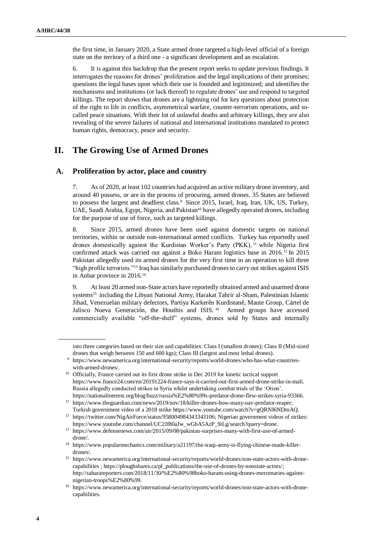the first time, in January 2020, a State armed drone targeted a high-level official of a foreign state on the territory of a third one - a significant development and an escalation.

6. It is against this backdrop that the present report seeks to update previous findings. It interrogates the reasons for drones' proliferation and the legal implications of their promises; questions the legal bases upon which their use is founded and legitimized; and identifies the mechanisms and institutions (or lack thereof) to regulate drones' use and respond to targeted killings. The report shows that drones are a lightning rod for key questions about protection of the right to life in conflicts, asymmetrical warfare, counter-terrorism operations, and socalled peace situations. With their lot of unlawful deaths and arbitrary killings, they are also revealing of the severe failures of national and international institutions mandated to protect human rights, democracy, peace and security.

# **II. The Growing Use of Armed Drones**

#### **A. Proliferation by actor, place and country**

7. As of 2020, at least 102 countries had acquired an active military drone inventory, and around 40 possess, or are in the process of procuring, armed drones. 35 States are believed to possess the largest and deadliest class.<sup>9</sup> Since 2015, Israel, Iraq, Iran, UK, US, Turkey, UAE, Saudi Arabia, Egypt, Nigeria, and Pakistan<sup>10</sup> have allegedly operated drones, including for the purpose of use of force, such as targeted killings.

8. Since 2015, armed drones have been used against domestic targets on national territories, within or outside non-international armed conflicts. Turkey has reportedly used drones domestically against the Kurdistan Worker's Party (PKK), <sup>11</sup> while Nigeria first confirmed attack was carried out against a Boko Haram logistics base in 2016.<sup>12</sup> In 2015 Pakistan allegedly used its armed drones for the very first time in an operation to kill three "high profile terrorists."<sup>13</sup> Iraq has similarly purchased drones to carry out strikes against ISIS in Anbar province in 2016.<sup>14</sup>

9. At least 20 armed non-State actors have reportedly obtained armed and unarmed drone systems<sup>15</sup> including the Libyan National Army, Harakat Tahrir al-Sham, Palestinian Islamic Jihad, Venezuelan military defectors, Partiya Karkerên Kurdistanê, Maute Group, Cártel de Jalisco Nueva Generación, the Houthis and ISIS.<sup>16</sup> Armed groups have accessed commercially available "off-the-shelf" systems, drones sold by States and internally

into three categories based on their size and capabilities: Class I (smallest drones); Class II (Mid-sized drones that weigh between 150 and 600 kgs); Class III (largest and most lethal drones).

<sup>9</sup> [https://www.newamerica.org/international-security/reports/world-drones/who-has-what-countries](https://www.newamerica.org/international-security/reports/world-drones/who-has-what-countries-with-armed-drones/)[with-armed-drones/.](https://www.newamerica.org/international-security/reports/world-drones/who-has-what-countries-with-armed-drones/)

<sup>&</sup>lt;sup>10</sup> Officially, France carried out its first drone strike in Dec 2019 for kinetic tactical support [https://www.france24.com/en/20191224-france-says-it-carried-out-first-armed-drone-strike-in-mali.](https://www.france24.com/en/20191224-france-says-it-carried-out-first-armed-drone-strike-in-mali) Russia allegedly conducted strikes in Syria whilst undertaking combat trials of the 'Orion'. [https://nationalinterest.org/blog/buzz/russia%E2%80%99s-predator-drone-flew-strikes-syria-93366.](https://nationalinterest.org/blog/buzz/russia%E2%80%99s-predator-drone-flew-strikes-syria-93366)

<sup>11</sup> [https://www.theguardian.com/news/2019/nov/18/killer-drones-how-many-uav-predator-reaper;](https://www.theguardian.com/news/2019/nov/18/killer-drones-how-many-uav-predator-reaper) Turkish government video of a 2018 strik[e https://www.youtube.com/watch?v=gQRNI6NDmAQ.](https://www.youtube.com/watch?v=gQRNI6NDmAQ)

<sup>&</sup>lt;sup>12</sup> [https://twitter.com/NigAirForce/status/958004984343343106;](https://twitter.com/NigAirForce/status/958004984343343106) Nigerian government videos of strikes: [https://www.youtube.com/channel/UC2Jf80aJw\\_wGhA5AzP\\_9iLg/search?query=drone.](https://www.youtube.com/channel/UC2Jf80aJw_wGhA5AzP_9iLg/search?query=drone)

<sup>13</sup> [https://www.defensenews.com/air/2015/09/08/pakistan-surprises-many-with-first-use-of-armed](https://www.defensenews.com/air/2015/09/08/pakistan-surprises-many-with-first-use-of-armed-drone/)[drone/.](https://www.defensenews.com/air/2015/09/08/pakistan-surprises-many-with-first-use-of-armed-drone/)

<sup>14</sup> [https://www.popularmechanics.com/military/a21197/the-iraqi-army-is-flying-chinese-made-killer](https://www.popularmechanics.com/military/a21197/the-iraqi-army-is-flying-chinese-made-killer-drones/)[drones/.](https://www.popularmechanics.com/military/a21197/the-iraqi-army-is-flying-chinese-made-killer-drones/)

<sup>15</sup> [https://www.newamerica.org/international-security/reports/world-drones/non-state-actors-with-drone](https://www.newamerica.org/international-security/reports/world-drones/non-state-actors-with-drone-capabilities)[capabilities](https://www.newamerica.org/international-security/reports/world-drones/non-state-actors-with-drone-capabilities) [; https://ploughshares.ca/pl\\_publications/the-use-of-drones-by-nonstate-actors/;](https://ploughshares.ca/pl_publications/the-use-of-drones-by-nonstate-actors/) [http://saharareporters.com/2018/11/30/%E2%80%98boko-haram-using-drones-mercenaries-against](http://saharareporters.com/2018/11/30/%E2%80%98boko-haram-using-drones-mercenaries-against-nigerian-troops%E2%80%99)[nigerian-troops%E2%80%99.](http://saharareporters.com/2018/11/30/%E2%80%98boko-haram-using-drones-mercenaries-against-nigerian-troops%E2%80%99)

<sup>16</sup> [https://www.newamerica.org/international-security/reports/world-drones/non-state-actors-with-drone](https://www.newamerica.org/international-security/reports/world-drones/non-state-actors-with-drone-capabilities)[capabilities.](https://www.newamerica.org/international-security/reports/world-drones/non-state-actors-with-drone-capabilities)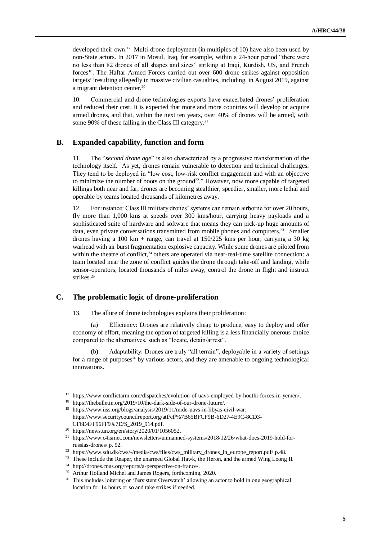developed their own.<sup>17</sup> Multi-drone deployment (in multiples of 10) have also been used by non-State actors. In 2017 in Mosul, Iraq, for example, within a 24-hour period "there were no less than 82 drones of all shapes and sizes" striking at Iraqi, Kurdish, US, and French forces18. The Haftar Armed Forces carried out over 600 drone strikes against opposition targets<sup>19</sup> resulting allegedly in massive civilian casualties, including, in August 2019, against a migrant detention center.<sup>20</sup>

10. Commercial and drone technologies exports have exacerbated drones' proliferation and reduced their cost. It is expected that more and more countries will develop or acquire armed drones, and that, within the next ten years, over 40% of drones will be armed, with some 90% of these falling in the Class III category.<sup>21</sup>

#### **B. Expanded capability, function and form**

11. The "*second drone age*" is also characterized by a progressive transformation of the technology itself. As yet, drones remain vulnerable to detection and technical challenges. They tend to be deployed in "low cost, low-risk conflict engagement and with an objective to minimize the number of boots on the ground<sup>22</sup>." However, now more capable of targeted killings both near and far, drones are becoming stealthier, speedier, smaller, more lethal and operable by teams located thousands of kilometres away.

12. For instance: Class III military drones' systems can remain airborne for over 20 hours, fly more than 1,000 kms at speeds over 300 kms/hour, carrying heavy payloads and a sophisticated suite of hardware and software that means they can pick-up huge amounts of data, even private conversations transmitted from mobile phones and computers.<sup>23</sup> Smaller drones having a  $100 \text{ km} + \text{range}$ , can travel at  $150/225 \text{ km s}$  per hour, carrying a 30 kg warhead with air burst fragmentation explosive capacity. While some drones are piloted from within the theatre of conflict, $24$  others are operated via near-real-time satellite connection: a team located near the zone of conflict guides the drone through take-off and landing, while sensor-operators, located thousands of miles away, control the drone in flight and instruct strikes.<sup>25</sup>

#### **C. The problematic logic of drone-proliferation**

13. The allure of drone technologies explains their proliferation:

(a) Efficiency: Drones are relatively cheap to produce, easy to deploy and offer economy of effort, meaning the option of targeted killing is a less financially onerous choice compared to the alternatives, such as "locate, detain/arrest".

(b) Adaptability: Drones are truly "all terrain", deployable in a variety of settings for a range of purposes<sup>26</sup> by various actors, and they are amenable to ongoing technological innovations.

<sup>17</sup> [https://www.conflictarm.com/dispatches/evolution-of-uavs-employed-by-houthi-forces-in-yemen/.](https://www.conflictarm.com/dispatches/evolution-of-uavs-employed-by-houthi-forces-in-yemen/)

<sup>18</sup> [https://thebulletin.org/2019/10/the-dark-side-of-our-drone-future/.](https://thebulletin.org/2019/10/the-dark-side-of-our-drone-future/)

<sup>19</sup> [https://www.iiss.org/blogs/analysis/2019/11/mide-uavs-in-libyas-civil-war;](https://www.iiss.org/blogs/analysis/2019/11/mide-uavs-in-libyas-civil-war) [https://www.securitycouncilreport.org/atf/cf/%7B65BFCF9B-6D27-4E9C-8CD3-](https://www.securitycouncilreport.org/atf/cf/%7B65BFCF9B-6D27-4E9C-8CD3-CF6E4FF96FF9%7D/S_2019_914.pdf) [CF6E4FF96FF9%7D/S\\_2019\\_914.pdf.](https://www.securitycouncilreport.org/atf/cf/%7B65BFCF9B-6D27-4E9C-8CD3-CF6E4FF96FF9%7D/S_2019_914.pdf)

<sup>20</sup> [https://news.un.org/en/story/2020/01/1056052.](https://news.un.org/en/story/2020/01/1056052)

<sup>21</sup> [https://www.c4isrnet.com/newsletters/unmanned-systems/2018/12/26/what-does-2019-hold-for](https://www.c4isrnet.com/newsletters/unmanned-systems/2018/12/26/what-does-2019-hold-for-russias-drones/)[russias-drones/](https://www.c4isrnet.com/newsletters/unmanned-systems/2018/12/26/what-does-2019-hold-for-russias-drones/) p. 52.

<sup>22</sup> [https://www.sdu.dk/cws/-/media/cws/files/cws\\_military\\_drones\\_in\\_europe\\_report.pdf/](https://www.sdu.dk/cws/-/media/cws/files/cws_military_drones_in_europe_report.pdf/) p.48.

<sup>&</sup>lt;sup>23</sup> These include the Reaper, the unarmed Global Hawk, the Heron, and the armed Wing Loong II.

<sup>24</sup> [http://drones.cnas.org/reports/a-perspective-on-france/.](http://drones.cnas.org/reports/a-perspective-on-france/) 

<sup>&</sup>lt;sup>25</sup> Arthur Holland Michel and James Rogers, forthcoming, 2020.

<sup>&</sup>lt;sup>26</sup> This includes loitering or 'Persistent Overwatch' allowing an actor to hold in one geographical location for 14 hours or so and take strikes if needed.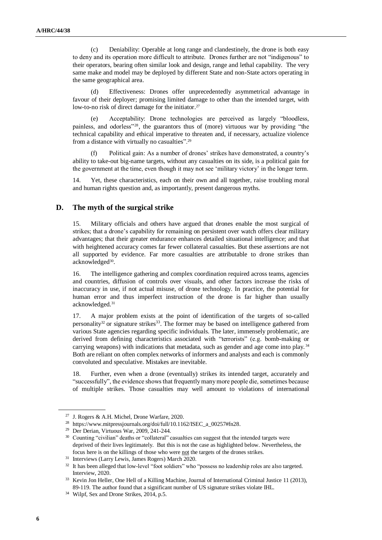(c) Deniability: Operable at long range and clandestinely, the drone is both easy to deny and its operation more difficult to attribute. Drones further are not "indigenous" to their operators, bearing often similar look and design, range and lethal capability. The very same make and model may be deployed by different State and non-State actors operating in the same geographical area.

(d) Effectiveness: Drones offer unprecedentedly asymmetrical advantage in favour of their deployer; promising limited damage to other than the intended target, with low-to-no risk of direct damage for the initiator.<sup>27</sup>

(e) Acceptability: Drone technologies are perceived as largely "bloodless, painless, and odorless"28, the guarantors thus of (more) virtuous war by providing "the technical capability and ethical imperative to threaten and, if necessary, actualize violence from a distance with virtually no casualties".<sup>29</sup>

(f) Political gain: As a number of drones' strikes have demonstrated, a country's ability to take-out big-name targets, without any casualties on its side, is a political gain for the government at the time, even though it may not see 'military victory' in the longer term.

14. Yet, these characteristics, each on their own and all together, raise troubling moral and human rights question and, as importantly, present dangerous myths.

#### **D. The myth of the surgical strike**

15. Military officials and others have argued that drones enable the most surgical of strikes; that a drone's capability for remaining on persistent over watch offers clear military advantages; that their greater endurance enhances detailed situational intelligence; and that with heightened accuracy comes far fewer collateral casualties. But these assertions are not all supported by evidence. Far more casualties are attributable to drone strikes than acknowledged<sup>30</sup>.

16. The intelligence gathering and complex coordination required across teams, agencies and countries, diffusion of controls over visuals, and other factors increase the risks of inaccuracy in use, if not actual misuse, of drone technology. In practice, the potential for human error and thus imperfect instruction of the drone is far higher than usually acknowledged.<sup>31</sup>

17. A major problem exists at the point of identification of the targets of so-called personality<sup>32</sup> or signature strikes<sup>33</sup>. The former may be based on intelligence gathered from various State agencies regarding specific individuals. The later, immensely problematic, are derived from defining characteristics associated with "terrorists" (e.g. bomb-making or carrying weapons) with indications that metadata, such as gender and age come into play.<sup>34</sup> Both are reliant on often complex networks of informers and analysts and each is commonly convoluted and speculative. Mistakes are inevitable.

18. Further, even when a drone (eventually) strikes its intended target, accurately and "successfully", the evidence shows that frequently many more people die, sometimes because of multiple strikes. Those casualties may well amount to violations of international

<sup>27</sup> J. Rogers & A.H. Michel, Drone Warfare, 2020.

<sup>28</sup> [https://www.mitpressjournals.org/doi/full/10.1162/ISEC\\_a\\_00257#fn28.](https://www.mitpressjournals.org/doi/full/10.1162/ISEC_a_00257#fn28)

<sup>29</sup> Der Derian, Virtuous War, 2009, 241-244.

<sup>&</sup>lt;sup>30</sup> Counting "civilian" deaths or "collateral" casualties can suggest that the intended targets were deprived of their lives legitimately. But this is not the case as highlighted below. Nevertheless, the focus here is on the killings of those who were not the targets of the drones strikes.

<sup>31</sup> Interviews (Larry Lewis, James Rogers) March 2020.

<sup>&</sup>lt;sup>32</sup> It has been alleged that low-level "foot soldiers" who "possess no leadership roles are also targeted. Interview, 2020.

<sup>&</sup>lt;sup>33</sup> Kevin Jon Heller, One Hell of a Killing Machine, Journal of International Criminal Justice 11 (2013), 89-119. The author found that a significant number of US signature strikes violate IHL.

<sup>&</sup>lt;sup>34</sup> Wilpf, Sex and Drone Strikes, 2014, p.5.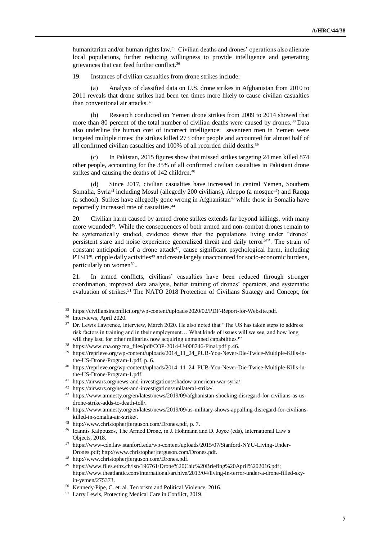humanitarian and/or human rights law.<sup>35</sup> Civilian deaths and drones' operations also alienate local populations, further reducing willingness to provide intelligence and generating grievances that can feed further conflict.<sup>36</sup>

19. Instances of civilian casualties from drone strikes include:

(a) Analysis of classified data on U.S. drone strikes in Afghanistan from 2010 to 2011 reveals that drone strikes had been ten times more likely to cause civilian casualties than conventional air attacks. 37

(b) Research conducted on Yemen drone strikes from 2009 to 2014 showed that more than 80 percent of the total number of civilian deaths were caused by drones.<sup>38</sup> Data also underline the human cost of incorrect intelligence: seventeen men in Yemen were targeted multiple times: the strikes killed 273 other people and accounted for almost half of all confirmed civilian casualties and 100% of all recorded child deaths.<sup>39</sup>

In Pakistan, 2015 figures show that missed strikes targeting 24 men killed 874 other people, accounting for the 35% of all confirmed civilian casualties in Pakistani drone strikes and causing the deaths of 142 children.<sup>40</sup>

(d) Since 2017, civilian casualties have increased in central Yemen, Southern Somalia, Syria<sup>41</sup> including Mosul (allegedly 200 civilians), Aleppo (a mosque<sup>42</sup>) and Raqqa (a school). Strikes have allegedly gone wrong in Afghanistan<sup>43</sup> while those in Somalia have reportedly increased rate of casualties.<sup>44</sup>

20. Civilian harm caused by armed drone strikes extends far beyond killings, with many more wounded<sup>45</sup>. While the consequences of both armed and non-combat drones remain to be systematically studied, evidence shows that the populations living under "drones' persistent stare and noise experience generalized threat and daily terror<sup>46"</sup>. The strain of constant anticipation of a drone attack<sup>47</sup>, cause significant psychological harm, including PTSD<sup>48</sup>, cripple daily activities<sup>49</sup> and create largely unaccounted for socio-economic burdens, particularly on women<sup>50</sup>..

21. In armed conflicts, civilians' casualties have been reduced through stronger coordination, improved data analysis, better training of drones' operators, and systematic evaluation of strikes.<sup>51</sup> The NATO 2018 Protection of Civilians Strategy and Concept, for

<sup>35</sup> [https://civiliansinconflict.org/wp-content/uploads/2020/02/PDF-Report-for-Website.pdf.](https://civiliansinconflict.org/wp-content/uploads/2020/02/PDF-Report-for-Website.pdf)

<sup>36</sup> Interviews, April 2020.

<sup>&</sup>lt;sup>37</sup> Dr. Lewis Lawrence, Interview, March 2020. He also noted that "The US has taken steps to address risk factors in training and in their employment… What kinds of issues will we see, and how long will they last, for other militaries now acquiring unmanned capabilities?"

<sup>38</sup> [https://www.cna.org/cna\\_files/pdf/COP-2014-U-008746-Final.pdf](https://www.cna.org/cna_files/pdf/COP-2014-U-008746-Final.pdf) p.46.

<sup>39</sup> [https://reprieve.org/wp-content/uploads/2014\\_11\\_24\\_PUB-You-Never-Die-Twice-Multiple-Kills-in](https://reprieve.org/wp-content/uploads/2014_11_24_PUB-You-Never-Die-Twice-Multiple-Kills-in-the-US-Drone-Program-1.pdf)[the-US-Drone-Program-1.pdf,](https://reprieve.org/wp-content/uploads/2014_11_24_PUB-You-Never-Die-Twice-Multiple-Kills-in-the-US-Drone-Program-1.pdf) p. 6.

<sup>40</sup> [https://reprieve.org/wp-content/uploads/2014\\_11\\_24\\_PUB-You-Never-Die-Twice-Multiple-Kills-in](https://reprieve.org/wp-content/uploads/2014_11_24_PUB-You-Never-Die-Twice-Multiple-Kills-in-the-US-Drone-Program-1.pdf)[the-US-Drone-Program-1.pdf.](https://reprieve.org/wp-content/uploads/2014_11_24_PUB-You-Never-Die-Twice-Multiple-Kills-in-the-US-Drone-Program-1.pdf)

<sup>41</sup> [https://airwars.org/news-and-investigations/shadow-american-war-syria/.](https://airwars.org/news-and-investigations/shadow-american-war-syria/)

<sup>42</sup> [https://airwars.org/news-and-investigations/unilateral-strike/.](https://airwars.org/news-and-investigations/unilateral-strike/)

<sup>43</sup> [https://www.amnesty.org/en/latest/news/2019/09/afghanistan-shocking-disregard-for-civilians-as-us](https://www.amnesty.org/en/latest/news/2019/09/afghanistan-shocking-disregard-for-civilians-as-us-drone-strike-adds-to-death-toll/)[drone-strike-adds-to-death-toll/.](https://www.amnesty.org/en/latest/news/2019/09/afghanistan-shocking-disregard-for-civilians-as-us-drone-strike-adds-to-death-toll/)

<sup>44</sup> [https://www.amnesty.org/en/latest/news/2019/09/us-military-shows-appalling-disregard-for-civilians](https://www.amnesty.org/en/latest/news/2019/09/us-military-shows-appalling-disregard-for-civilians-killed-in-somalia-air-strike/)[killed-in-somalia-air-strike/.](https://www.amnesty.org/en/latest/news/2019/09/us-military-shows-appalling-disregard-for-civilians-killed-in-somalia-air-strike/)

<sup>45</sup> [http://www.christopherjferguson.com/Drones.pdf,](http://www.christopherjferguson.com/Drones.pdf) p. 7.

<sup>46</sup> Ioannis Kalpouzos, The Armed Drone, in J. Hohmann and D. Joyce (eds), International Law's Objects, 2018.

<sup>47</sup> [https://www-cdn.law.stanford.edu/wp-content/uploads/2015/07/Stanford-NYU-Living-Under-](https://www-cdn.law.stanford.edu/wp-content/uploads/2015/07/Stanford-NYU-Living-Under-Drones.pdf)[Drones.pdf;](https://www-cdn.law.stanford.edu/wp-content/uploads/2015/07/Stanford-NYU-Living-Under-Drones.pdf) [http://www.christopherjferguson.com/Drones.pdf.](http://www.christopherjferguson.com/Drones.pdf)

<sup>48</sup> [http://www.christopherjferguson.com/Drones.pdf.](http://www.christopherjferguson.com/Drones.pdf)

<sup>49</sup> [https://www.files.ethz.ch/isn/196761/Drone%20Chic%20Briefing%20April%202016.pdf;](https://www.files.ethz.ch/isn/196761/Drone%20Chic%20Briefing%20April%202016.pdf)  [https://www.theatlantic.com/international/archive/2013/04/living-in-terror-under-a-drone-filled-sky](https://www.theatlantic.com/international/archive/2013/04/living-in-terror-under-a-drone-filled-sky-in-yemen/275373)[in-yemen/275373.](https://www.theatlantic.com/international/archive/2013/04/living-in-terror-under-a-drone-filled-sky-in-yemen/275373)

<sup>50</sup> Kennedy-Pipe, C. et. al. Terrorism and Political Violence, 2016.

<sup>51</sup> Larry Lewis, Protecting Medical Care in Conflict, 2019.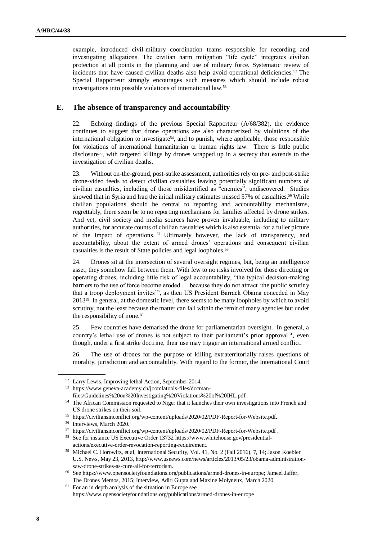example, introduced civil-military coordination teams responsible for recording and investigating allegations. The civilian harm mitigation "life cycle" integrates civilian protection at all points in the planning and use of military force. Systematic review of incidents that have caused civilian deaths also help avoid operational deficiencies.<sup>52</sup> The Special Rapporteur strongly encourages such measures which should include robust investigations into possible violations of international law.<sup>53</sup>

#### **E. The absence of transparency and accountability**

22. Echoing findings of the previous Special Rapporteur (A/68/382), the evidence continues to suggest that drone operations are also characterized by violations of the international obligation to investigate<sup>54</sup>, and to punish, where applicable, those responsible for violations of international humanitarian or human rights law. There is little public disclosure<sup>55</sup>, with targeted killings by drones wrapped up in a secrecy that extends to the investigation of civilian deaths.

23. Without on-the-ground, post-strike assessment, authorities rely on pre- and post-strike drone-video feeds to detect civilian casualties leaving potentially significant numbers of civilian casualties, including of those misidentified as "enemies", undiscovered. Studies showed that in Syria and Iraq the initial military estimates missed 57% of casualties.<sup>56</sup> While civilian populations should be central to reporting and accountability mechanisms, regrettably, there seem be to no reporting mechanisms for families affected by drone strikes. And yet, civil society and media sources have proven invaluable, including to military authorities, for accurate counts of civilian casualties which is also essential for a fuller picture of the impact of operations. <sup>57</sup> Ultimately however, the lack of transparency, and accountability, about the extent of armed drones' operations and consequent civilian casualties is the result of State policies and legal loopholes.<sup>58</sup>

24. Drones sit at the intersection of several oversight regimes, but, being an intelligence asset, they somehow fall between them. With few to no risks involved for those directing or operating drones, including little risk of legal accountability, "the typical decision-making barriers to the use of force become eroded … because they do not attract 'the public scrutiny that a troop deployment invites'", as then US President Barrack Obama conceded in May 201359. In general, at the domestic level, there seems to be many loopholes by which to avoid scrutiny, not the least because the matter can fall within the remit of many agencies but under the responsibility of none.<sup>60</sup>

25. Few countries have demarked the drone for parliamentarian oversight. In general, a country's lethal use of drones is not subject to their parliament's prior approval<sup>61</sup>, even though, under a first strike doctrine, their use may trigger an international armed conflict.

26. The use of drones for the purpose of killing extraterritorially raises questions of morality, jurisdiction and accountability. With regard to the former, the International Court

<sup>52</sup> Larry Lewis, Improving lethal Action, September 2014.

<sup>53</sup> [https://www.geneva-academy.ch/joomlatools-files/docman-](https://www.geneva-academy.ch/joomlatools-files/docman-files/Guidelines%20on%20Investigating%20Violations%20of%20IHL.pdf)

[files/Guidelines%20on%20Investigating%20Violations%20of%20IHL.pdf](https://www.geneva-academy.ch/joomlatools-files/docman-files/Guidelines%20on%20Investigating%20Violations%20of%20IHL.pdf) .

<sup>54</sup> The African Commission requested to Niger that it launches their own investigations into French and US drone strikes on their soil.

<sup>55</sup> [https://civiliansinconflict.org/wp-content/uploads/2020/02/PDF-Report-for-Website.pdf.](https://civiliansinconflict.org/wp-content/uploads/2020/02/PDF-Report-for-Website.pdf)

<sup>56</sup> Interviews, March 2020.

<sup>57</sup> <https://civiliansinconflict.org/wp-content/uploads/2020/02/PDF-Report-for-Website.pdf> .

<sup>58</sup> See for instance US Executive Order 13732 [https://www.whitehouse.gov/presidential](https://www.whitehouse.gov/presidential-actions/executive-order-revocation-reporting-requirement)[actions/executive-order-revocation-reporting-requirement.](https://www.whitehouse.gov/presidential-actions/executive-order-revocation-reporting-requirement)

<sup>59</sup> Michael C. Horowitz, et al, International Security, Vol. 41, No. 2 (Fall 2016), 7, 14; Jason Koebler U.S. News, May 23, 2013[, http://www.usnews.com/news/articles/2013/05/23/obama-administration](http://www.usnews.com/news/articles/2013/05/23/obama-administration-saw-drone-strikes-as-cure-all-for-terrorism)[saw-drone-strikes-as-cure-all-for-terrorism.](http://www.usnews.com/news/articles/2013/05/23/obama-administration-saw-drone-strikes-as-cure-all-for-terrorism)

<sup>60</sup> Se[e https://www.opensocietyfoundations.org/publications/armed-drones-in-europe;](https://www.opensocietyfoundations.org/publications/armed-drones-in-europe) Jameel Jaffer, The Drones Memos, 2015; Interview, Aditi Gupta and Maxine Molyneux, March 2020

<sup>61</sup> For an in depth analysis of the situation in Europe see <https://www.opensocietyfoundations.org/publications/armed-drones-in-europe>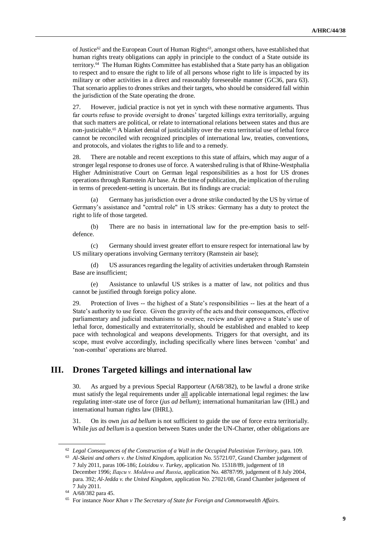of Justice<sup>62</sup> and the European Court of Human Rights<sup>63</sup>, amongst others, have established that human rights treaty obligations can apply in principle to the conduct of a State outside its territory.<sup>64</sup> The Human Rights Committee has established that a State party has an obligation to respect and to ensure the right to life of all persons whose right to life is impacted by its military or other activities in a direct and reasonably foreseeable manner (GC36, para 63). That scenario applies to drones strikes and their targets, who should be considered fall within the jurisdiction of the State operating the drone.

27. However, judicial practice is not yet in synch with these normative arguments. Thus far courts refuse to provide oversight to drones' targeted killings extra territorially, arguing that such matters are political, or relate to international relations between states and thus are non-justiciable.<sup>65</sup> A blanket denial of justiciability over the extra territorial use of lethal force cannot be reconciled with recognized principles of international law, treaties, conventions, and protocols, and violates the rights to life and to a remedy.

28. There are notable and recent exceptions to this state of affairs, which may augur of a stronger legal response to drones use of force. A watershed ruling is that of Rhine-Westphalia Higher Administrative Court on German legal responsibilities as a host for US drones operations through Ramstein Air base. At the time of publication, the implication of the ruling in terms of precedent-setting is uncertain. But its findings are crucial:

Germany has jurisdiction over a drone strike conducted by the US by virtue of Germany's assistance and "central role" in US strikes: Germany has a duty to protect the right to life of those targeted.

(b) There are no basis in international law for the pre-emption basis to selfdefence.

(c) Germany should invest greater effort to ensure respect for international law by US military operations involving Germany territory (Ramstein air base);

(d) US assurances regarding the legality of activities undertaken through Ramstein Base are insufficient;

(e) Assistance to unlawful US strikes is a matter of law, not politics and thus cannot be justified through foreign policy alone.

29. Protection of lives -- the highest of a State's responsibilities -- lies at the heart of a State's authority to use force. Given the gravity of the acts and their consequences, effective parliamentary and judicial mechanisms to oversee, review and/or approve a State's use of lethal force, domestically and extraterritorially, should be established and enabled to keep pace with technological and weapons developments. Triggers for that oversight, and its scope, must evolve accordingly, including specifically where lines between 'combat' and 'non-combat' operations are blurred.

### **III. Drones Targeted killings and international law**

30. As argued by a previous Special Rapporteur (A/68/382), to be lawful a drone strike must satisfy the legal requirements under all applicable international legal regimes: the law regulating inter-state use of force (*jus ad bellum*); international humanitarian law (IHL) and international human rights law (IHRL).

31. On its own *jus ad bellum* is not sufficient to guide the use of force extra territorially. While *jus ad bellum* is a question between States under the UN-Charter, other obligations are

<sup>62</sup> *Legal Consequences of the Construction of a Wall in the Occupied Palestinian Territory*, para. 109.

<sup>63</sup> *Al-Skeini and others v. the United Kingdom*, application No. 55721/07, Grand Chamber judgement of 7 July 2011, paras 106-186; *Loizidou v. Turkey*, application No. 15318/89, judgement of 18 December 1996; *Ilaşcu v. Moldova and Russia*, application No. 48787/99, judgement of 8 July 2004, para. 392; *Al-Jedda v. the United Kingdom*, application No. 27021/08, Grand Chamber judgement of 7 July 2011.

<sup>64</sup> A/68/382 para 45.

<sup>65</sup> For instance *[Noor Khan v The Secretary of State for Foreign and Commonwealth Affairs.](https://reprieve.org.uk/wp-content/uploads/2015/04/2014_01_20_PUB-Noor-Khan-Court-of-Appeal-judgement.pdf)*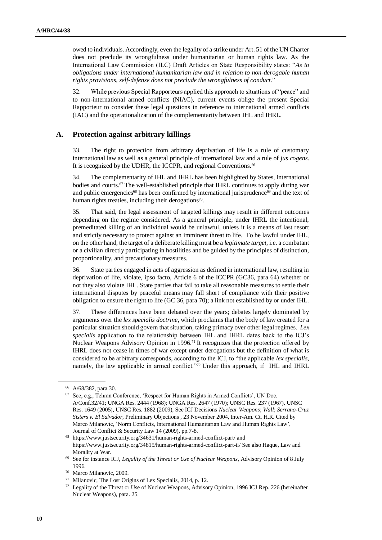owed to individuals. Accordingly, even the legality of a strike under Art. 51 of the UN Charter does not preclude its wrongfulness under humanitarian or human rights law. As the International Law Commission (ILC) Draft Articles on State Responsibility states: "*As to obligations under international humanitarian law and in relation to non-derogable human rights provisions, self-defense does not preclude the wrongfulness of conduct*."

32. While previous Special Rapporteurs applied this approach to situations of "peace" and to non-international armed conflicts (NIAC), current events oblige the present Special Rapporteur to consider these legal questions in reference to international armed conflicts (IAC) and the operationalization of the complementarity between IHL and IHRL.

#### **A. Protection against arbitrary killings**

33. The right to protection from arbitrary deprivation of life is a rule of customary international law as well as a general principle of international law and a rule of *jus cogens*. It is recognized by the UDHR, the ICCPR, and regional Conventions.<sup>66</sup>

34. The complementarity of IHL and IHRL has been highlighted by States, international bodies and courts.<sup>67</sup> The well-established principle that IHRL continues to apply during war and public emergencies<sup>68</sup> has been confirmed by international jurisprudence<sup>69</sup> and the text of human rights treaties, including their derogations<sup>70</sup>.

35. That said, the legal assessment of targeted killings may result in different outcomes depending on the regime considered. As a general principle, under IHRL the intentional, premeditated killing of an individual would be unlawful, unless it is a means of last resort and strictly necessary to protect against an imminent threat to life. To be lawful under IHL, on the other hand, the target of a deliberate killing must be a *legitimate target,* i.e. a combatant or a civilian directly participating in hostilities and be guided by the principles of distinction, proportionality, and precautionary measures.

36. State parties engaged in acts of aggression as defined in international law, resulting in deprivation of life, violate, ipso facto, Article 6 of the ICCPR (GC36, para 64) whether or not they also violate IHL. State parties that fail to take all reasonable measures to settle their international disputes by peaceful means may fall short of compliance with their positive obligation to ensure the right to life (GC 36, para 70); a link not established by or under IHL.

37. These differences have been debated over the years; debates largely dominated by arguments over the *lex specialis doctrine*, which proclaims that the body of law created for a particular situation should govern that situation, taking primacy over other legal regimes. *Lex specialis* application to the relationship between IHL and IHRL dates back to the ICJ's Nuclear Weapons Advisory Opinion in 1996.<sup>71</sup> It recognizes that the protection offered by IHRL does not cease in times of war except under derogations but the definition of what is considered to be arbitrary corresponds, according to the ICJ, to "the applicable *lex specialis*, namely, the law applicable in armed conflict."<sup>72</sup> Under this approach, if IHL and IHRL

<sup>66</sup> A/68/382, para 30.

<sup>67</sup> See, e.g., Tehran Conference, 'Respect for Human Rights in Armed Conflicts', UN Doc. A/Conf.32/41; UNGA Res. 2444 (1968); UNGA Res. 2647 (1970); UNSC Res. 237 (1967), UNSC Res. 1649 (2005), UNSC Res. 1882 (2009), See ICJ Decisions *Nuclear Weapons*; *Wall*; *Serrano-Cruz Sisters v. El Salvador,* Preliminary Objections , 23 November 2004, Inter-Am. Ct. H.R. Cited by Marco Milanovic, 'Norm Conflicts, International Humanitarian Law and Human Rights Law', Journal of Conflict & Security Law 14 (2009), pp.7-8.

<sup>68</sup> <https://www.justsecurity.org/34631/human-rights-armed-conflict-part/> and <https://www.justsecurity.org/34815/human-rights-armed-conflict-part-ii/> See also Haque, Law and Morality at War.

<sup>69</sup> See for instance ICJ, *Legality of the Threat or Use of Nuclear Weapons*, Advisory Opinion of 8 July 1996.

<sup>70</sup> Marco Milanovic, 2009.

<sup>71</sup> Milanovic, The Lost Origins of Lex Specialis, 2014, p. 12.

<sup>72</sup> Legality of the Threat or Use of Nuclear Weapons, Advisory Opinion, 1996 ICJ Rep. 226 (hereinafter Nuclear Weapons), para. 25.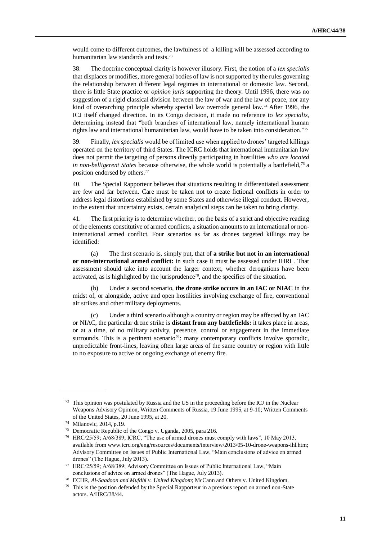would come to different outcomes, the lawfulness of a killing will be assessed according to humanitarian law standards and tests.<sup>73</sup>

38. The doctrine conceptual clarity is however illusory. First, the notion of a *lex specialis* that displaces or modifies, more general bodies of law is not supported by the rules governing the relationship between different legal regimes in international or domestic law. Second, there is little State practice or *opinion juris* supporting the theory. Until 1996, there was no suggestion of a rigid classical division between the law of war and the law of peace, nor any kind of overarching principle whereby special law overrode general law.<sup>74</sup> After 1996, the ICJ itself changed direction. In its Congo decision, it made no reference to *lex specialis,*  determining instead that "both branches of international law, namely international human rights law and international humanitarian law, would have to be taken into consideration."<sup>75</sup>

39. Finally, *lex specialis* would be of limited use when applied to drones' targeted killings operated on the territory of third States. The ICRC holds that international humanitarian law does not permit the targeting of persons directly participating in hostilities *who are located in non-belligerent States* because otherwise, the whole world is potentially a battlefield,<sup>76</sup> a position endorsed by others.<sup>77</sup>

40. The Special Rapporteur believes that situations resulting in differentiated assessment are few and far between. Care must be taken not to create fictional conflicts in order to address legal distortions established by some States and otherwise illegal conduct. However, to the extent that uncertainty exists, certain analytical steps can be taken to bring clarity.

41. The first priority is to determine whether, on the basis of a strict and objective reading of the elements constitutive of armed conflicts, a situation amounts to an international or noninternational armed conflict. Four scenarios as far as drones targeted killings may be identified:

(a) The first scenario is, simply put, that of **a strike but not in an international or non-international armed conflict:** in such case it must be assessed under IHRL. That assessment should take into account the larger context, whether derogations have been activated, as is highlighted by the jurisprudence<sup>78</sup>, and the specifics of the situation.

(b) Under a second scenario, **the drone strike occurs in an IAC or NIAC** in the midst of, or alongside, active and open hostilities involving exchange of fire, conventional air strikes and other military deployments.

Under a third scenario although a country or region may be affected by an IAC or NIAC, the particular drone strike is **distant from any battlefields:** it takes place in areas, or at a time, of no military activity, presence, control or engagement in the immediate surrounds. This is a pertinent scenario<sup>79</sup>: many contemporary conflicts involve sporadic, unpredictable front-lines, leaving often large areas of the same country or region with little to no exposure to active or ongoing exchange of enemy fire.

<sup>73</sup> This opinion was postulated by Russia and the US in the proceeding before the ICJ in the Nuclear Weapons Advisory Opinion, Written Comments of Russia, 19 June 1995, at 9-10; Written Comments of the United States, 20 June 1995, at 20.

<sup>74</sup> Milanovic, 2014, p.19.

<sup>75</sup> Democratic Republic of the Congo v. Uganda, 2005, para 216.

<sup>76</sup> HRC/25/59; A/68/389; ICRC, "The use of armed drones must comply with laws", 10 May 2013, available from [www.icrc.org/eng/resources/documents/interview/2013/05-10-drone-weapons-ihl.htm;](http://www.icrc.org/eng/resources/documents/interview/2013/05-10-drone-weapons-ihl.htm) Advisory Committee on Issues of Public International Law, "Main conclusions of advice on armed drones" (The Hague, July 2013).

<sup>77</sup> HRC/25/59; A/68/389; Advisory Committee on Issues of Public International Law, "Main conclusions of advice on armed drones" (The Hague, July 2013).

<sup>78</sup> ECHR, *Al-Saadoon and Mufdhi v. United Kingdom*; McCann and Others v. United Kingdom.

<sup>&</sup>lt;sup>79</sup> This is the position defended by the Special Rapporteur in a previous report on armed non-State actors. A/HRC/38/44.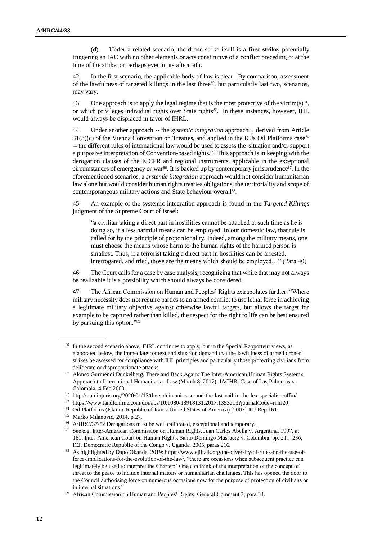(d) Under a related scenario, the drone strike itself is a **first strike,** potentially triggering an IAC with no other elements or acts constitutive of a conflict preceding or at the time of the strike, or perhaps even in its aftermath.

42. In the first scenario, the applicable body of law is clear. By comparison, assessment of the lawfulness of targeted killings in the last three<sup>80</sup>, but particularly last two, scenarios, may vary.

43. One approach is to apply the legal regime that is the most protective of the victim( $s$ <sup>81</sup>, or which privileges individual rights over State rights<sup>82</sup>. In these instances, however, IHL would always be displaced in favor of IHRL.

44. Under another approach -- the *systemic integration* approach<sup>83</sup>, derived from Article  $31(3)(c)$  of the Vienna Convention on Treaties, and applied in the ICJs Oil Platforms case<sup>84</sup> -- the different rules of international law would be used to assess the situation and/or support a purposive interpretation of Convention-based rights.<sup>85</sup> This approach is in keeping with the derogation clauses of the ICCPR and regional instruments, applicable in the exceptional circumstances of emergency or war<sup>86</sup>. It is backed up by contemporary jurisprudence<sup>87</sup>. In the aforementioned scenarios, a *systemic integration* approach would not consider humanitarian law alone but would consider human rights treaties obligations, the territoriality and scope of contemporaneous military actions and State behaviour overall<sup>88</sup>.

45. An example of the systemic integration approach is found in the *Targeted Killings*  judgment of the Supreme Court of Israel:

"a civilian taking a direct part in hostilities cannot be attacked at such time as he is doing so, if a less harmful means can be employed. In our domestic law, that rule is called for by the principle of proportionality. Indeed, among the military means, one must choose the means whose harm to the human rights of the harmed person is smallest. Thus, if a terrorist taking a direct part in hostilities can be arrested, interrogated, and tried, those are the means which should be employed…" (Para 40)

46. The Court calls for a case by case analysis, recognizing that while that may not always be realizable it is a possibility which should always be considered.

47. The African Commission on Human and Peoples' Rights extrapolates further: "Where military necessity does not require parties to an armed conflict to use lethal force in achieving a legitimate military objective against otherwise lawful targets, but allows the target for example to be captured rather than killed, the respect for the right to life can be best ensured by pursuing this option."<sup>89</sup>

<sup>80</sup> In the second scenario above, IHRL continues to apply, but in the Special Rapporteur views, as elaborated below, the immediate context and situation demand that the lawfulness of armed drones' strikes be assessed for compliance with IHL principles and particularly those protecting civilians from deliberate or disproportionate attacks.

<sup>81</sup> Alonso Gurmendi Dunkelberg, There and Back Again: The Inter-American Human Rights System's Approach to International Humanitarian Law (March 8, 2017); IACHR, Case of Las Palmeras v. Colombia, 4 Feb 2000.

<sup>82</sup> [http://opiniojuris.org/2020/01/13/the-soleimani-case-and-the-last-nail-in-the-lex-specialis-coffin/.](http://opiniojuris.org/2020/01/13/the-soleimani-case-and-the-last-nail-in-the-lex-specialis-coffin/)

<sup>83</sup> [https://www.tandfonline.com/doi/abs/10.1080/18918131.2017.1353213?journalCode=rnhr20;](https://www.tandfonline.com/doi/abs/10.1080/18918131.2017.1353213?journalCode=rnhr20)

<sup>84</sup> Oil Platforms (Islamic Republic of Iran v United States of America) [2003] ICJ Rep 161.

<sup>85</sup> Marko Milanovic, 2014, p.27.

<sup>86</sup> A/HRC/37/52 Derogations must be well calibrated, exceptional and temporary.

<sup>87</sup> See e.g. Inter-American Commission on Human Rights, Juan Carlos Abella v. Argentina, 1997, at 161; Inter-American Court on Human Rights, Santo Domingo Massacre v. Colombia, pp. 211-236; ICJ, Democratic Republic of the Congo v. Uganda, 2005, paras 216.

<sup>88</sup> As highlighted by Dapo Okande, 2019: [https://www.ejiltalk.org/the-diversity-of-rules-on-the-use-of](https://www.ejiltalk.org/the-diversity-of-rules-on-the-use-of-force-implications-for-the-evolution-of-the-law/)[force-implications-for-the-evolution-of-the-law/,](https://www.ejiltalk.org/the-diversity-of-rules-on-the-use-of-force-implications-for-the-evolution-of-the-law/) "there are occasions when subsequent practice can legitimately be used to interpret the Charter: "One can think of the interpretation of the concept of threat to the peace to include internal matters or humanitarian challenges. This has opened the door to the Council authorising force on numerous occasions now for the purpose of protection of civilians or in internal situations."

<sup>89</sup> African Commission on Human and Peoples' Rights, General Comment 3, para 34.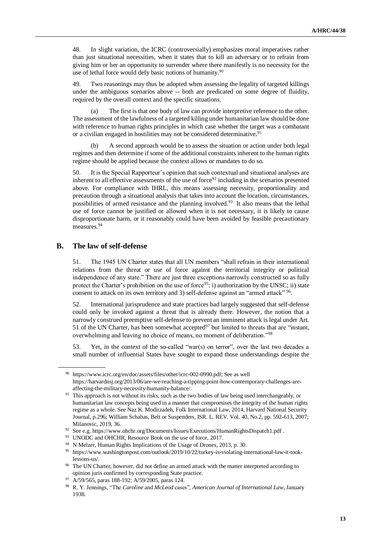48. In slight variation, the ICRC (controversially) emphasizes moral imperatives rather than just situational necessities, when it states that to kill an adversary or to refrain from giving him or her an opportunity to surrender where there manifestly is no necessity for the use of lethal force would defy basic notions of humanity.<sup>90</sup>

49. Two reasonings may thus be adopted when assessing the legality of targeted killings under the ambiguous scenarios above -- both are predicated on some degree of fluidity, required by the overall context and the specific situations.

The first is that one body of law can provide interpretive reference to the other. The assessment of the lawfulness of a targeted killing under humanitarian law should be done with reference to human rights principles in which case whether the target was a combatant or a civilian engaged in hostilities may not be considered determinative.<sup>91</sup>

(b) A second approach would be to assess the situation or action under both legal regimes and then determine if some of the additional constraints inherent to the human rights regime should be applied because the context allows or mandates to do so.

50. It is the Special Rapporteur's opinion that such contextual and situational analyses are inherent to all effective assessments of the use of force<sup>92</sup> including in the scenarios presented above. For compliance with IHRL, this means assessing necessity, proportionality and precaution through a situational analysis that takes into account the location, circumstances, possibilities of armed resistance and the planning involved.<sup>93</sup> It also means that the lethal use of force cannot be justified or allowed when it is not necessary, it is likely to cause disproportionate harm, or it reasonably could have been avoided by feasible precautionary measures.<sup>94</sup>

#### **B. The law of self-defense**

51. The 1945 UN Charter states that all UN members "shall refrain in their international relations from the threat or use of force against the territorial integrity or political independence of any state." There are just three exceptions narrowly constructed so as fully protect the Charter's prohibition on the use of force<sup>95</sup>: i) authorization by the UNSC; ii) state consent to attack on its own territory and 3) self-defense against an "armed attack" <sup>96</sup>.

52. International jurisprudence and state practices had largely suggested that self-defense could only be invoked against a threat that is already there. However, the notion that a narrowly construed preemptive self-defense to prevent an imminent attack is legal under Art. 51 of the UN Charter, has been somewhat accepted $97$  but limited to threats that are "instant, overwhelming and leaving no choice of means, no moment of deliberation."<sup>98</sup>

53. Yet, in the context of the so-called "war(s) on terror", over the last two decades a small number of influential States have sought to expand those understandings despite the

<sup>90</sup> [https://www.icrc.org/en/doc/assets/files/other/icrc-002-0990.pdf;](https://www.icrc.org/en/doc/assets/files/other/icrc-002-0990.pdf) See as well [https://harvardnsj.org/2013/06/are-we-reaching-a-tipping-point-how-contemporary-challenges-are](https://harvardnsj.org/2013/06/are-we-reaching-a-tipping-point-how-contemporary-challenges-are-affecting-the-military-necessity-humanity-balance/)[affecting-the-military-necessity-humanity-balance/.](https://harvardnsj.org/2013/06/are-we-reaching-a-tipping-point-how-contemporary-challenges-are-affecting-the-military-necessity-humanity-balance/)

<sup>&</sup>lt;sup>91</sup> This approach is not without its risks, such as the two bodies of law being used interchangeably, or humanitarian law concepts being used in a manner that compromises the integrity of the human rights regime as a whole. See Naz K. Modirzadeh, Folk International Law, 2014, Harvard National Security Journal, p.296; William Schabas, Belt or Suspenders, ISR. L. REV. Vol. 40, No.2, pp. 592-613, 2007; Milanovic, 2019, 36.

<sup>92</sup> See e.g.<https://www.ohchr.org/Documents/Issues/Executions/HumanRightsDispatch1.pdf> .

<sup>&</sup>lt;sup>93</sup> UNODC and OHCHR, Resource Book on the use of force, 2017.

<sup>94</sup> N Melzer, Human Rights Implications of the Usage of Drones, 2013, p. 30.

<sup>95</sup> [https://www.washingtonpost.com/outlook/2019/10/22/turkey-is-violating-international-law-it-took](https://www.washingtonpost.com/outlook/2019/10/22/turkey-is-violating-international-law-it-took-lessons-us/)[lessons-us/.](https://www.washingtonpost.com/outlook/2019/10/22/turkey-is-violating-international-law-it-took-lessons-us/)

<sup>&</sup>lt;sup>96</sup> The UN Charter, however, did not define an armed attack with the matter interpreted according to opinion juris confirmed by corresponding State practice.

<sup>97</sup> A/59/565, paras 188-192; A/59/2005, paras 124.

<sup>98</sup> R. Y. Jennings, "The *Caroline* and *McLeod* cases", *American Journal of International Law*, January 1938.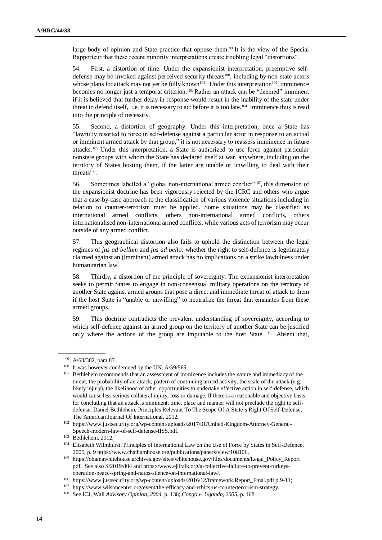large body of opinion and State practice that oppose them.<sup>99</sup> It is the view of the Special Rapporteur that these recent minority interpretations create troubling legal "distortions".

54. First, a distortion of time: Under the expansionist interpretation, preemptive selfdefense may be invoked against perceived security threats<sup>100</sup>, including by non-state actors whose plans for attack may not yet be fully known<sup>101</sup>. Under this interpretation<sup>102</sup>, imminence becomes no longer just a temporal criterion.<sup>103</sup> Rather an attack can be "deemed" imminent if it is believed that further delay in response would result in the inability of the state under threat to defend itself, i.e. it is necessary to act before it is too late.<sup>104</sup> Imminence thus is read into the principle of necessity.

55. Second, a distortion of geography: Under this interpretation, once a State has "lawfully resorted to force in self-defense against a particular actor in response to an actual or imminent armed attack by that group," it is not necessary to reassess imminence in future attacks.<sup>105</sup> Under this interpretation, a State is authorized to use force against particular nonstate groups with whom the State has declared itself at war, anywhere, including on the territory of States hosting them, if the latter are unable or unwilling to deal with their threats<sup>106</sup>.

56. Sometimes labelled a "global non-international armed conflict"107, this dimension of the expansionist doctrine has been vigorously rejected by the ICRC and others who argue that a case-by-case approach to the classification of various violence situations including in relation to counter-terrorism must be applied. Some situations may be classified as international armed conflicts, others non-international armed conflicts, others internationalised non-international armed conflicts, while various acts of terrorism may occur outside of any armed conflict.

57. This geographical distortion also fails to uphold the distinction between the legal regimes of *jus ad bellum* and *jus ad bello*: whether the right to self-defence is legitimately claimed against an (imminent) armed attack has no implications on a strike lawfulness under humanitarian law.

58. Thirdly, a distortion of the principle of sovereignty: The expansionist interpretation seeks to permit States to engage in non-consensual military operations on the territory of another State against armed groups that pose a direct and immediate threat of attack to them if the host State is "unable or unwilling" to neutralize the threat that emanates from these armed groups.

59. This doctrine contradicts the prevalent understanding of sovereignty, according to which self-defence against an armed group on the territory of another State can be justified only where the actions of the group are imputable to the host State.<sup>108</sup> Absent that,

<sup>99</sup> A/68/382, para 87.

<sup>&</sup>lt;sup>100</sup> It was however condemned by the UN: A/59/565.

<sup>&</sup>lt;sup>101</sup> Bethlehem recommends that an assessment of imminence includes the nature and immediacy of the threat, the probability of an attack, pattern of continuing armed activity, the scale of the attack (e.g. likely injury), the likelihood of other opportunities to undertake effective action in self-defense, which would cause less serious collateral injury, loss or damage. If there is a reasonable and objective basis for concluding that an attack is imminent, time, place and manner will not preclude the right to selfdefense. Daniel Bethlehem, Principles Relevant To The Scope Of A State's Right Of Self-Defense, The American Journal Of International, 2012.

<sup>102</sup> [https://www.justsecurity.org/wp-content/uploads/2017/01/United-Kingdom-Attorney-General-](https://www.justsecurity.org/wp-content/uploads/2017/01/United-Kingdom-Attorney-General-Speech-modern-law-of-self-defense-IISS.pdf)[Speech-modern-law-of-self-defense-IISS.pdf.](https://www.justsecurity.org/wp-content/uploads/2017/01/United-Kingdom-Attorney-General-Speech-modern-law-of-self-defense-IISS.pdf)

<sup>103</sup> Bethlehem, 2012.

<sup>104</sup> Elisabeth Wilmhurst, Principles of International Law on the Use of Force by States in Self-Defence, 2005, p. [9 https://www.chathamhouse.org/publications/papers/view/108106.](https://www.chathamhouse.org/publications/papers/view/108106)

<sup>105</sup> [https://obamawhitehouse.archives.gov/sites/whitehouse.gov/files/documents/Legal\\_Policy\\_Report.](https://obamawhitehouse.archives.gov/sites/whitehouse.gov/files/documents/Legal_Policy_Report) p[df.](https://obamawhitehouse.archives.gov/sites/whitehouse.gov/files/documents/Legal_Policy_Report.pdf) See also S/2019/804 an[d https://www.ejiltalk.org/a-collective-failure-to-prevent-turkeys](https://www.ejiltalk.org/a-collective-failure-to-prevent-turkeys-operation-peace-spring-and-natos-silence-on-international-law/)[operation-peace-spring-and-natos-silence-on-international-law/.](https://www.ejiltalk.org/a-collective-failure-to-prevent-turkeys-operation-peace-spring-and-natos-silence-on-international-law/)

<sup>106</sup> [https://www.justsecurity.org/wp-content/uploads/2016/12/framework.Report\\_Final.pdf p.9-11;](https://www.justsecurity.org/wp-content/uploads/2016/12/framework.Report_Final.pdf%20p.9-11)

<sup>107</sup> [https://www.wilsoncenter.org/event/the-efficacy-and-ethics-us-counterterrorism-strategy.](https://www.wilsoncenter.org/event/the-efficacy-and-ethics-us-counterterrorism-strategy)

<sup>108</sup> See ICJ, Wall *Advisory Opinion, 2004*, p. 136; *Congo v. Uganda, 2005*, p. 168.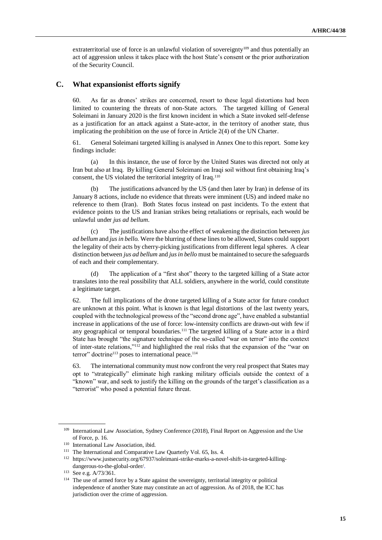extraterritorial use of force is an unlawful violation of sovereignty<sup>109</sup> and thus potentially an act of aggression unless it takes place with the host State's consent or the prior authorization of the Security Council.

#### **C. What expansionist efforts signify**

60. As far as drones' strikes are concerned, resort to these legal distortions had been limited to countering the threats of non-State actors. The targeted killing of General Soleimani in January 2020 is the first known incident in which a State invoked self-defense as a justification for an attack against a State-actor, in the territory of another state, thus implicating the prohibition on the use of force in Article 2(4) of the UN Charter.

61. General Soleimani targeted killing is analysed in Annex One to this report. Some key findings include:

(a) In this instance, the use of force by the United States was directed not only at Iran but also at Iraq. By killing General Soleimani on Iraqi soil without first obtaining Iraq's consent, the US violated the territorial integrity of Iraq.<sup>110</sup>

(b) The justifications advanced by the US (and then later by Iran) in defense of its January 8 actions, include no evidence that threats were imminent (US) and indeed make no reference to them (Iran). Both States focus instead on past incidents. To the extent that evidence points to the US and Iranian strikes being retaliations or reprisals, each would be unlawful under *jus ad bellum*.

(c) The justifications have also the effect of weakening the distinction between *jus ad bellum* and *jus in bello.* Were the blurring of these lines to be allowed, States could support the legality of their acts by cherry-picking justifications from different legal spheres. A clear distinction between *jus ad bellum* and *jus in bello* must be maintained to secure the safeguards of each and their complementary.

(d) The application of a "first shot" theory to the targeted killing of a State actor translates into the real possibility that ALL soldiers, anywhere in the world, could constitute a legitimate target.

62. The full implications of the drone targeted killing of a State actor for future conduct are unknown at this point. What is known is that legal distortions of the last twenty years, coupled with the technological prowess of the "second drone age", have enabled a substantial increase in applications of the use of force: low-intensity conflicts are drawn-out with few if any geographical or temporal boundaries.<sup>111</sup> The targeted killing of a State actor in a third State has brought "the signature technique of the so-called "war on terror" into the context of inter-state relations,"<sup>112</sup> and highlighted the real risks that the expansion of the "war on terror" doctrine<sup>113</sup> poses to international peace.<sup>114</sup>

63. The international community must now confront the very real prospect that States may opt to "strategically" eliminate high ranking military officials outside the context of a "known" war, and seek to justify the killing on the grounds of the target's classification as a "terrorist" who posed a potential future threat.

<sup>&</sup>lt;sup>109</sup> International Law Association, Sydney Conference (2018), Final Report on Aggression and the Use of Force, p. 16.

<sup>110</sup> International Law Association, ibid.

<sup>&</sup>lt;sup>111</sup> [The International and Comparative Law Quarterly](https://search-proquest-com.ezproxy.cul.columbia.edu/pubidlinkhandler/sng/pubtitle/The+International+and+Comparative+Law+Quarterly/$N/46872/DocView/1829550099/fulltext/FBCFCFF1F3C246DBPQ/1?accountid=10226) [Vol.](https://search-proquest-com.ezproxy.cul.columbia.edu/pubidlinkhandler/sng/pubtitle/The+International+and+Comparative+Law+Quarterly/$N/46872/DocView/1829550099/fulltext/FBCFCFF1F3C246DBPQ/1?accountid=10226) 65, Iss. 4.

<sup>112</sup> [https://www.justsecurity.org/67937/soleimani-strike-marks-a-novel-shift-in-targeted-killing](https://www.justsecurity.org/67937/soleimani-strike-marks-a-novel-shift-in-targeted-killing-dangerous-to-the-global-order/)[dangerous-to-the-global-order/.](https://www.justsecurity.org/67937/soleimani-strike-marks-a-novel-shift-in-targeted-killing-dangerous-to-the-global-order/)

<sup>113</sup> See e.g. A/73/361.

<sup>&</sup>lt;sup>114</sup> The use of armed force by a State against the sovereignty, territorial integrity or political independence of another State may constitute an act of aggression. As of 2018, the ICC has jurisdiction over the crime of aggression.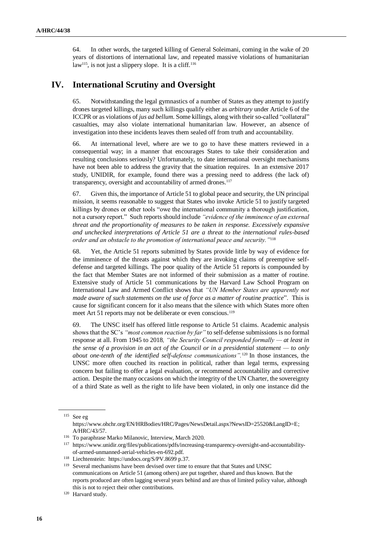64. In other words, the targeted killing of General Soleimani, coming in the wake of 20 years of distortions of international law, and repeated massive violations of humanitarian law<sup>115</sup>, is not just a slippery slope. It is a cliff.<sup>116</sup>

### **IV. International Scrutiny and Oversight**

65. Notwithstanding the legal gymnastics of a number of States as they attempt to justify drones targeted killings, many such killings qualify either as *arbitrary* under Article 6 of the ICCPR or as violations of *jus ad bellum*. Some killings, along with their so-called "collateral" casualties, may also violate international humanitarian law. However, an absence of investigation into these incidents leaves them sealed off from truth and accountability.

66. At international level, where are we to go to have these matters reviewed in a consequential way; in a manner that encourages States to take their consideration and resulting conclusions seriously? Unfortunately, to date international oversight mechanisms have not been able to address the gravity that the situation requires. In an extensive 2017 study, UNIDIR, for example, found there was a pressing need to address (the lack of) transparency, oversight and accountability of armed drones.<sup>117</sup>

67. Given this, the importance of Article 51 to global peace and security, the UN principal mission, it seems reasonable to suggest that States who invoke Article 51 to justify targeted killings by drones or other tools "owe the international community a thorough justification, not a cursory report."Such reports should include *"evidence of the imminence of an external threat and the proportionality of measures to be taken in response. Excessively expansive and unchecked interpretations of Article 51 are a threat to the international rules-based order and an obstacle to the promotion of international peace and security."*<sup>118</sup>

68. Yet, the Article 51 reports submitted by States provide little by way of evidence for the imminence of the threats against which they are invoking claims of preemptive selfdefense and targeted killings. The poor quality of the Article 51 reports is compounded by the fact that Member States are not informed of their submission as a matter of routine. Extensive study of Article 51 communications by the Harvard Law School Program on International Law and Armed Conflict shows that *"UN Member States are apparently not made aware of such statements on the use of force as a matter of routine practice*". This is cause for significant concern for it also means that the silence with which States more often meet Art 51 reports may not be deliberate or even conscious.<sup>119</sup>

69. The UNSC itself has offered little response to Article 51 claims. Academic analysis shows that the SC's *"most common reaction by far"* to self-defense submissions is no formal response at all. From 1945 to 2018*, "the Security Council responded formally — at least in the sense of a provision in an act of the Council or in a presidential statement — to only about one-tenth of the identified self-defense communications".*<sup>120</sup> In those instances, the UNSC more often couched its reaction in political, rather than legal terms, expressing concern but failing to offer a legal evaluation, or recommend accountability and corrective action. Despite the many occasions on which the integrity of the UN Charter, the sovereignty of a third State as well as the right to life have been violated, in only one instance did the

<sup>120</sup> Harvard study.

<sup>115</sup> See eg [https://www.ohchr.org/EN/HRBodies/HRC/Pages/NewsDetail.aspx?NewsID=25520&LangID=E;](https://www.ohchr.org/EN/HRBodies/HRC/Pages/NewsDetail.aspx?NewsID=25520&LangID=E)  A/HRC/43/57.

<sup>116</sup> To paraphrase Marko Milanovic, Interview, March 2020.

<sup>117</sup> [https://www.unidir.org/files/publications/pdfs/increasing-transparency-oversight-and-accountability](https://www.unidir.org/files/publications/pdfs/increasing-transparency-oversight-and-accountability-of-armed-unmanned-aerial-vehicles-en-692.pdf)[of-armed-unmanned-aerial-vehicles-en-692.pdf.](https://www.unidir.org/files/publications/pdfs/increasing-transparency-oversight-and-accountability-of-armed-unmanned-aerial-vehicles-en-692.pdf)

<sup>118</sup> Liechtenstein: <https://undocs.org/S/PV.8699> p.37.

<sup>119</sup> Several mechanisms have been devised over time to ensure that that States and UNSC communications on Article 51 (among others) are put together, shared and thus known. But the reports produced are often lagging several years behind and are thus of limited policy value, although this is not to reject their other contributions.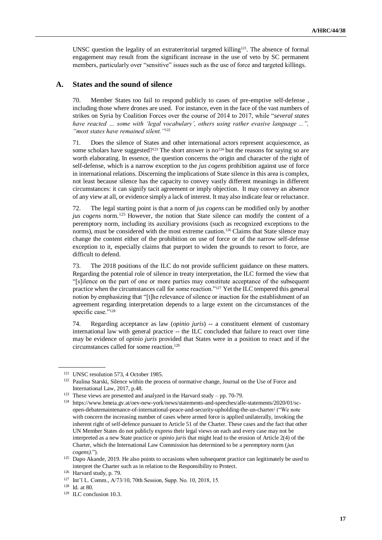UNSC question the legality of an extraterritorial targeted killing<sup>121</sup>. The absence of formal engagement may result from the significant increase in the use of veto by SC permanent members, particularly over "sensitive" issues such as the use of force and targeted killings.

#### **A. States and the sound of silence**

70. Member States too fail to respond publicly to cases of pre-emptive self-defense , including those where drones are used. For instance, even in the face of the vast numbers of strikes on Syria by Coalition Forces over the course of 2014 to 2017, while "*several states have reacted … some with 'legal vocabulary', others using rather evasive language ...", "most states have remained silent."*<sup>122</sup>

71. Does the silence of States and other international actors represent acquiescence, as some scholars have suggested?<sup>123</sup> The short answer is no<sup>124</sup> but the reasons for saying so are worth elaborating. In essence, the question concerns the origin and character of the right of self-defense, which is a narrow exception to the *jus cogens* prohibition against use of force in international relations. Discerning the implications of State silence in this area is complex, not least because silence has the capacity to convey vastly different meanings in different circumstances: it can signify tacit agreement or imply objection. It may convey an absence of any view at all, or evidence simply a lack of interest. It may also indicate fear or reluctance.

72. The legal starting point is that a norm of *jus cogens* can be modified only by another *jus cogens* norm.<sup>125</sup> However, the notion that State silence can modify the content of a peremptory norm, including its auxiliary provisions (such as recognized exceptions to the norms), must be considered with the most extreme caution.<sup>126</sup> Claims that State silence may change the content either of the prohibition on use of force or of the narrow self-defense exception to it, especially claims that purport to widen the grounds to resort to force, are difficult to defend.

73. The 2018 positions of the ILC do not provide sufficient guidance on these matters. Regarding the potential role of silence in treaty interpretation, the ILC formed the view that "[s]ilence on the part of one or more parties may constitute acceptance of the subsequent practice when the circumstances call for some reaction."<sup>127</sup> Yet the ILC tempered this general notion by emphasizing that "[t]he relevance of silence or inaction for the establishment of an agreement regarding interpretation depends to a large extent on the circumstances of the specific case."<sup>128</sup>

74. Regarding acceptance as law (*opinio juris*) -- a constituent element of customary international law with general practice -- the ILC concluded that failure to react over time may be evidence of *opinio juris* provided that States were in a position to react and if the circumstances called for some reaction.<sup>129</sup>

<sup>&</sup>lt;sup>121</sup> UNSC resolution 573, 4 October 1985.

<sup>122</sup> Paulina Starski, Silence within the process of normative change, Journal on the Use of Force and International Law, 2017, p.48.

<sup>&</sup>lt;sup>123</sup> These views are presented and analyzed in the Harvard study – pp. 70-79.

<sup>124</sup> [https://www.bmeia.gv.at/oev-new-york/news/statements-and-speeches/alle-statements/2020/01/sc](https://www.bmeia.gv.at/oev-new-york/news/statements-and-speeches/alle-statements/2020/01/sc-open-debatemaintenance-of-international-peace-and-security-upholding-the-un-charter/)[open-debatemaintenance-of-international-peace-and-security-upholding-the-un-charter/](https://www.bmeia.gv.at/oev-new-york/news/statements-and-speeches/alle-statements/2020/01/sc-open-debatemaintenance-of-international-peace-and-security-upholding-the-un-charter/) ("We note with concern the increasing number of cases where armed force is applied unilaterally, invoking the inherent right of self-defence pursuant to Article 51 of the Charter. These cases and the fact that other UN Member States do not publicly express their legal views on each and every case may not be interpreted as a new State practice or *opinio juris* that might lead to the erosion of Article 2(4) of the Charter, which the International Law Commission has determined to be a peremptory norm (*jus cogens)*.").

<sup>&</sup>lt;sup>125</sup> Dapo Akande, 2019. He also points to occasions when subsequent practice can legitimately be used to interpret the Charter such as in relation to the Responsibility to Protect.

<sup>126</sup> Harvard study, p. 79.

<sup>127</sup> Int'l L. Comm., A/73/10, 70th Session, Supp. No. 10, 2018, 15.

<sup>128</sup> Id. at 80.

<sup>&</sup>lt;sup>129</sup> ILC conclusion 10.3.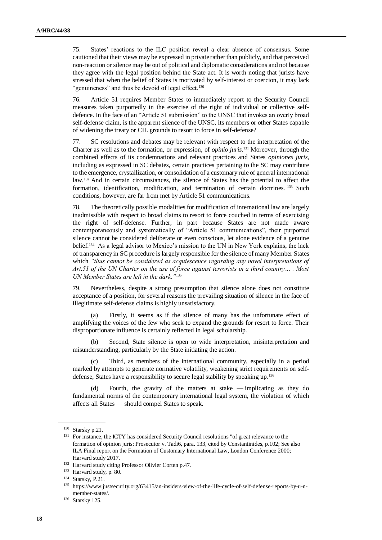75. States' reactions to the ILC position reveal a clear absence of consensus. Some cautioned that their views may be expressed in private rather than publicly, and that perceived non-reaction or silence may be out of political and diplomatic considerations and not because they agree with the legal position behind the State act. It is worth noting that jurists have stressed that when the belief of States is motivated by self-interest or coercion, it may lack "genuineness" and thus be devoid of legal effect.<sup>130</sup>

76. Article 51 requires Member States to immediately report to the Security Council measures taken purportedly in the exercise of the right of individual or collective selfdefence. In the face of an "Article 51 submission" to the UNSC that invokes an overly broad self-defense claim, is the apparent silence of the UNSC, its members or other States capable of widening the treaty or CIL grounds to resort to force in self-defense?

77. SC resolutions and debates may be relevant with respect to the interpretation of the Charter as well as to the formation, or expression, of *opinio juris*. <sup>131</sup> Moreover, through the combined effects of its condemnations and relevant practices and States *opiniones juris*, including as expressed in SC debates, certain practices pertaining to the SC may contribute to the emergence, crystallization, or consolidation of a customary rule of general international law.<sup>132</sup> And in certain circumstances, the silence of States has the potential to affect the formation, identification, modification, and termination of certain doctrines. <sup>133</sup> Such conditions, however, are far from met by Article 51 communications.

78. The theoretically possible modalities for modification of international law are largely inadmissible with respect to broad claims to resort to force couched in terms of exercising the right of self-defense. Further, in part because States are not made aware contemporaneously and systematically of "Article 51 communications", their purported silence cannot be considered deliberate or even conscious, let alone evidence of a genuine belief.<sup>134</sup> As a legal advisor to Mexico's mission to the UN in New York explains, the lack of transparency in SC procedure is largely responsible for the silence of many Member States which *"thus cannot be considered as acquiescence regarding any novel interpretations of Art.51 of the UN Charter on the use of force against terrorists in a third country… . Most UN Member States are left in the dark."*<sup>135</sup>

79. Nevertheless, despite a strong presumption that silence alone does not constitute acceptance of a position, for several reasons the prevailing situation of silence in the face of illegitimate self-defense claims is highly unsatisfactory.

(a) Firstly, it seems as if the silence of many has the unfortunate effect of amplifying the voices of the few who seek to expand the grounds for resort to force. Their disproportionate influence is certainly reflected in legal scholarship.

(b) Second, State silence is open to wide interpretation, misinterpretation and misunderstanding, particularly by the State initiating the action.

Third, as members of the international community, especially in a period marked by attempts to generate normative volatility, weakening strict requirements on selfdefense, States have a responsibility to secure legal stability by speaking up*.* 136

Fourth, the gravity of the matters at stake — implicating as they do fundamental norms of the contemporary international legal system, the violation of which affects all States — should compel States to speak.

<sup>130</sup> Starsky p.21.

<sup>&</sup>lt;sup>131</sup> For instance, the ICTY has considered Security Council resolutions "of great relevance to the formation of opinion juris: Prosecutor v. Tadi6, para. 133, cited by Constantinides, p.102; See also ILA Final report on the Formation of Customary International Law, London Conference 2000; Harvard study 2017.

<sup>132</sup> Harvard study citing Professor Olivier Corten p.47.

<sup>133</sup> Harvard study, p. 80.

<sup>134</sup> Starsky, P.21.

<sup>135</sup> [https://www.justsecurity.org/63415/an-insiders-view-of-the-life-cycle-of-self-defense-reports-by-u-n](https://www.justsecurity.org/63415/an-insiders-view-of-the-life-cycle-of-self-defense-reports-by-u-n-member-states/)[member-states/.](https://www.justsecurity.org/63415/an-insiders-view-of-the-life-cycle-of-self-defense-reports-by-u-n-member-states/)

<sup>136</sup> Starsky 125.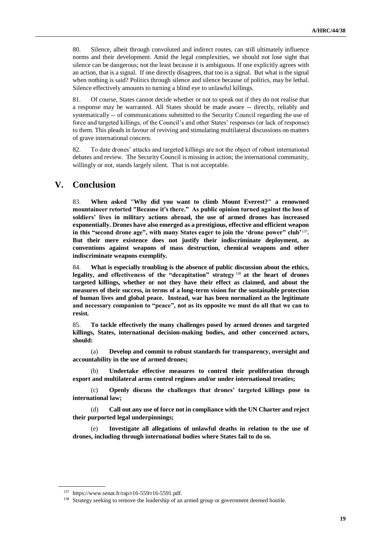80. Silence, albeit through convoluted and indirect routes, can still ultimately influence norms and their development. Amid the legal complexities, we should not lose sight that silence can be dangerous; not the least because it is ambiguous. If one explicitly agrees with an action, that is a signal. If one directly disagrees, that too is a signal. But what is the signal when nothing is said? Politics through silence and silence because of politics, may be lethal. Silence effectively amounts to turning a blind eye to unlawful killings.

81. Of course, States cannot decide whether or not to speak out if they do not realise that a response may be warranted. All States should be made aware -- directly, reliably and systematically -- of communications submitted to the Security Council regarding the use of force and targeted killings, of the Council's and other States' responses (or lack of response) to them. This pleads in favour of reviving and stimulating multilateral discussions on matters of grave international concern.

82. To date drones' attacks and targeted killings are not the object of robust international debates and review. The Security Council is missing in action; the international community, willingly or not, stands largely silent. That is not acceptable.

### **V. Conclusion**

83. **When asked "Why did you want to climb Mount Everest?" a renowned mountaineer retorted "Because it's there." As public opinion turned against the loss of soldiers' lives in military actions abroad, the use of armed drones has increased exponentially. Drones have also emerged as a prestigious, effective and efficient weapon**  in this "second drone age", with many States eager to join the 'drone power" club'<sup>137</sup>. **But their mere existence does not justify their indiscriminate deployment, as conventions against weapons of mass destruction, chemical weapons and other indiscriminate weapons exemplify.** 

84. **What is especially troubling is the absence of public discussion about the ethics, legality, and effectiveness of the "decapitation" strategy** <sup>138</sup> **at the heart of drones targeted killings, whether or not they have their effect as claimed, and about the measures of their success, in terms of a long-term vision for the sustainable protection of human lives and global peace. Instead, war has been normalized as the legitimate and necessary companion to "peace", not as its opposite we must do all that we can to resist.** 

85. **To tackle effectively the many challenges posed by armed drones and targeted killings, States, international decision-making bodies, and other concerned actors, should:**

(a) **Develop and commit to robust standards for transparency, oversight and accountability in the use of armed drones;** 

(b) **Undertake effective measures to control their proliferation through export and multilateral arms control regimes and/or under international treaties;** 

(c) **Openly discuss the challenges that drones' targeted killings pose to international law;**

(d) **Call out any use of force not in compliance with the UN Charter and reject their purported legal underpinnings;**

(e) **Investigate all allegations of unlawful deaths in relation to the use of drones, including through international bodies where States fail to do so.** 

<sup>137</sup> [https://www.senat.fr/rap/r16-559/r16-5591.pdf.](https://www.senat.fr/rap/r16-559/r16-5591.pdf)

<sup>&</sup>lt;sup>138</sup> Strategy seeking to remove the leadership of an armed group or government deemed hostile.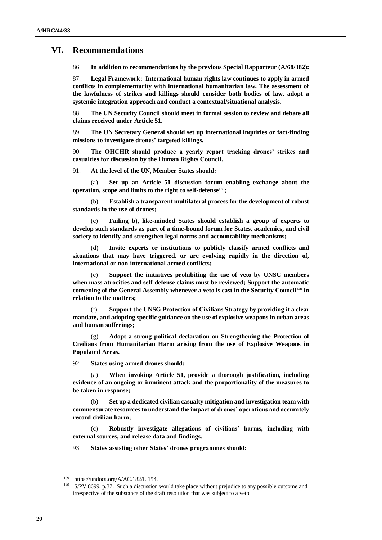### **VI. Recommendations**

86. **In addition to recommendations by the previous Special Rapporteur (A/68/382):**

87. **Legal Framework: International human rights law continues to apply in armed conflicts in complementarity with international humanitarian law. The assessment of the lawfulness of strikes and killings should consider both bodies of law, adopt a systemic integration approach and conduct a contextual/situational analysis.**

88. **The UN Security Council should meet in formal session to review and debate all claims received under Article 51.**

89. **The UN Secretary General should set up international inquiries or fact-finding missions to investigate drones' targeted killings.**

90. **The OHCHR should produce a yearly report tracking drones' strikes and casualties for discussion by the Human Rights Council.**

91. **At the level of the UN, Member States should:**

(a) **Set up an Article 51 discussion forum enabling exchange about the operation, scope and limits to the right to self-defense**139**;** 

(b) **Establish a transparent multilateral process for the development of robust standards in the use of drones;** 

(c) **Failing b), like-minded States should establish a group of experts to develop such standards as part of a time-bound forum for States, academics, and civil society to identify and strengthen legal norms and accountability mechanisms;**

(d) **Invite experts or institutions to publicly classify armed conflicts and situations that may have triggered, or are evolving rapidly in the direction of, international or non-international armed conflicts;**

(e) **Support the initiatives prohibiting the use of veto by UNSC members when mass atrocities and self-defense claims must be reviewed; Support the automatic convening of the General Assembly whenever a veto is cast in the Security Council**<sup>140</sup> **in relation to the matters;**

(f) **Support the UNSG Protection of Civilians Strategy by providing it a clear mandate, and adopting specific guidance on the use of explosive weapons in urban areas and human sufferings;**

(g) **Adopt a strong political declaration on Strengthening the Protection of Civilians from Humanitarian Harm arising from the use of Explosive Weapons in Populated Areas.**

92. **States using armed drones should:** 

(a) **When invoking Article 51, provide a thorough justification, including evidence of an ongoing or imminent attack and the proportionality of the measures to be taken in response;**

(b) **Set up a dedicated civilian casualty mitigation and investigation team with commensurate resources to understand the impact of drones' operations and accurately record civilian harm;** 

(c) **Robustly investigate allegations of civilians' harms, including with external sources, and release data and findings.** 

93. **States assisting other States' drones programmes should:**

<sup>139</sup> [https://undocs.org/A/AC.182/L.154.](https://undocs.org/A/AC.182/L.154)

<sup>&</sup>lt;sup>140</sup> S/PV.8699, p.37. Such a discussion would take place without prejudice to any possible outcome and irrespective of the substance of the draft resolution that was subject to a veto.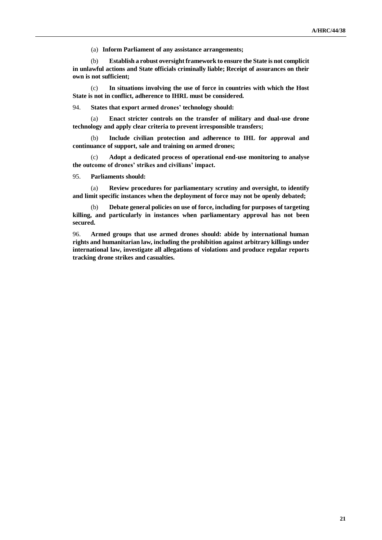(a) **Inform Parliament of any assistance arrangements;**

(b) **Establish a robust oversight framework to ensure the State is not complicit in unlawful actions and State officials criminally liable; Receipt of assurances on their own is not sufficient;** 

(c) **In situations involving the use of force in countries with which the Host State is not in conflict, adherence to IHRL must be considered.**

94. **States that export armed drones' technology should:**

(a) **Enact stricter controls on the transfer of military and dual-use drone technology and apply clear criteria to prevent irresponsible transfers;**

(b) **Include civilian protection and adherence to IHL for approval and continuance of support, sale and training on armed drones;**

(c) **Adopt a dedicated process of operational end-use monitoring to analyse the outcome of drones' strikes and civilians' impact.**

95. **Parliaments should:**

(a) **Review procedures for parliamentary scrutiny and oversight, to identify and limit specific instances when the deployment of force may not be openly debated;**

(b) **Debate general policies on use of force, including for purposes of targeting killing, and particularly in instances when parliamentary approval has not been secured.**

96. **Armed groups that use armed drones should: abide by international human rights and humanitarian law, including the prohibition against arbitrary killings under international law, investigate all allegations of violations and produce regular reports tracking drone strikes and casualties.**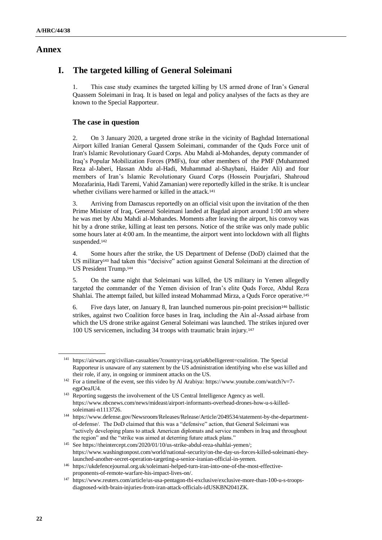### **Annex**

# **I. The targeted killing of General Soleimani**

1. This case study examines the targeted killing by US armed drone of Iran's General Quassem Soleimani in Iraq. It is based on legal and policy analyses of the facts as they are known to the Special Rapporteur.

### **The case in question**

2. On 3 January 2020, a targeted drone strike in the vicinity of Baghdad International Airport killed Iranian General Qassem Soleimani, commander of the Quds Force unit of Iran's Islamic Revolutionary Guard Corps. Abu Mahdi al-Mohandes, deputy commander of Iraq's Popular Mobilization Forces (PMFs), four other members of the PMF (Muhammed Reza al-Jaberi, Hassan Abdu al-Hadi, Muhammad al-Shaybani, Haider Ali) and four members of Iran's Islamic Revolutionary Guard Corps (Hossein Pourjafari, Shahroud Mozafarinia, Hadi Taremi, Vahid Zamanian) were reportedly killed in the strike. It is unclear whether civilians were harmed or killed in the attack.<sup>141</sup>

3. Arriving from Damascus reportedly on an official visit upon the invitation of the then Prime Minister of Iraq, General Soleimani landed at Bagdad airport around 1:00 am where he was met by Abu Mahdi al-Mohandes. Moments after leaving the airport, his convoy was hit by a drone strike, killing at least ten persons. Notice of the strike was only made public some hours later at 4:00 am. In the meantime, the airport went into lockdown with all flights suspended.<sup>142</sup>

4. Some hours after the strike, the US Department of Defense (DoD) claimed that the US military<sup>143</sup> had taken this "decisive" action against General Soleimani at the direction of US President Trump.<sup>144</sup>

5. On the same night that Soleimani was killed, the US military in Yemen allegedly targeted the commander of the Yemen division of Iran's elite Quds Force, Abdul Reza Shahlai. The attempt failed, but killed instead Mohammad Mirza, a Quds Force operative.<sup>145</sup>

6. Five days later, on January 8, Iran launched numerous pin-point precision<sup>146</sup> ballistic strikes, against two Coalition force bases in Iraq, including the Ain al-Assad airbase from which the US drone strike against General Soleimani was launched. The strikes injured over 100 US servicemen, including 34 troops with traumatic brain injury.<sup>147</sup>

<sup>141</sup> [https://airwars.org/civilian-casualties/?country=iraq,syria&belligerent=coalition.](https://airwars.org/civilian-casualties/?country=iraq,syria&belligerent=coalition) The Special Rapporteur is unaware of any statement by the US administration identifying who else was killed and their role, if any, in ongoing or imminent attacks on the US.

<sup>&</sup>lt;sup>142</sup> For a timeline of the event, see this video by Al Arabiya[: https://www.youtube.com/watch?v=7](https://www.youtube.com/watch?v=7-egpOeaJU4) [egpOeaJU4.](https://www.youtube.com/watch?v=7-egpOeaJU4)

<sup>&</sup>lt;sup>143</sup> Reporting suggests the involvement of the US Central Intelligence Agency as well. [https://www.nbcnews.com/news/mideast/airport-informants-overhead-drones-how-u-s-killed](https://www.nbcnews.com/news/mideast/airport-informants-overhead-drones-how-u-s-killed-soleimani-n1113726)[soleimani-n1113726.](https://www.nbcnews.com/news/mideast/airport-informants-overhead-drones-how-u-s-killed-soleimani-n1113726)

<sup>144</sup> [https://www.defense.gov/Newsroom/Releases/Release/Article/2049534/statement-by-the-department](https://www.defense.gov/Newsroom/Releases/Release/Article/2049534/statement-by-the-department-of-defense/)[of-defense/.](https://www.defense.gov/Newsroom/Releases/Release/Article/2049534/statement-by-the-department-of-defense/) The DoD claimed that this was a "defensive" action, that General Soleimani was "actively developing plans to attack American diplomats and service members in Iraq and throughout the region" and the "strike was aimed at deterring future attack plans."

<sup>145</sup> Se[e https://theintercept.com/2020/01/10/us-strike-abdul-reza-shahlai-yemen/;](https://theintercept.com/2020/01/10/us-strike-abdul-reza-shahlai-yemen/) [https://www.washingtonpost.com/world/national-security/on-the-day-us-forces-killed-soleimani-they](https://www.washingtonpost.com/world/national-security/on-the-day-us-forces-killed-soleimani-they-launched-another-secret-operation-targeting-a-senior-iranian-official-in-yemen/2020/01/10/60f86dbc-3245-11ea-898f-eb846b7e9feb_story.html)[launched-another-secret-operation-targeting-a-senior-iranian-official-in-yemen.](https://www.washingtonpost.com/world/national-security/on-the-day-us-forces-killed-soleimani-they-launched-another-secret-operation-targeting-a-senior-iranian-official-in-yemen/2020/01/10/60f86dbc-3245-11ea-898f-eb846b7e9feb_story.html)

<sup>146</sup> [https://ukdefencejournal.org.uk/soleimani-helped-turn-iran-into-one-of-the-most-effective](https://ukdefencejournal.org.uk/soleimani-helped-turn-iran-into-one-of-the-most-effective-proponents-of-remote-warfare-his-impact-lives-on/)[proponents-of-remote-warfare-his-impact-lives-on/.](https://ukdefencejournal.org.uk/soleimani-helped-turn-iran-into-one-of-the-most-effective-proponents-of-remote-warfare-his-impact-lives-on/)

<sup>147</sup> [https://www.reuters.com/article/us-usa-pentagon-tbi-exclusive/exclusive-more-than-100-u-s-troops](https://www.reuters.com/article/us-usa-pentagon-tbi-exclusive/exclusive-more-than-100-u-s-troops-diagnosed-with-brain-injuries-from-iran-attack-officials-idUSKBN2041ZK)[diagnosed-with-brain-injuries-from-iran-attack-officials-idUSKBN2041ZK.](https://www.reuters.com/article/us-usa-pentagon-tbi-exclusive/exclusive-more-than-100-u-s-troops-diagnosed-with-brain-injuries-from-iran-attack-officials-idUSKBN2041ZK)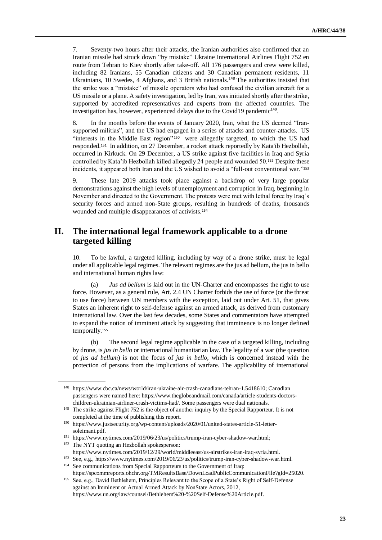7. Seventy-two hours after their attacks, the Iranian authorities also confirmed that an Iranian missile had struck down "by mistake" Ukraine International Airlines Flight 752 en route from Tehran to Kiev shortly after take-off. All 176 passengers and crew were killed, including 82 Iranians, 55 Canadian citizens and 30 Canadian permanent residents, 11 Ukrainians, 10 Swedes, 4 Afghans, and 3 British nationals.<sup>148</sup> The authorities insisted that the strike was a "mistake" of missile operators who had confused the civilian aircraft for a US missile or a plane. A safety investigation, led by Iran, was initiated shortly after the strike, supported by accredited representatives and experts from the affected countries. The investigation has, however, experienced delays due to the Covid19 pandemic<sup>149</sup>.

8. In the months before the events of January 2020, Iran, what the US deemed "Iransupported militias", and the US had engaged in a series of attacks and counter-attacks. US "interests in the Middle East region" <sup>150</sup> were allegedly targeted, to which the US had responded.<sup>151</sup> In addition, on 27 December, a rocket attack reportedly by Kata'ib Hezbollah, occurred in Kirkuck. On 29 December, a US strike against five facilities in Iraq and Syria controlled by Kata'ib Hezbollah killed allegedly 24 people and wounded 50.<sup>152</sup> Despite these incidents, it appeared both Iran and the US wished to avoid a "full-out conventional war." 153

9. These late 2019 attacks took place against a backdrop of very large popular demonstrations against the high levels of unemployment and corruption in Iraq, beginning in November and directed to the Government. The protests were met with lethal force by Iraq's security forces and armed non-State groups, resulting in hundreds of deaths, thousands wounded and multiple disappearances of activists.<sup>154</sup>

# **II. The international legal framework applicable to a drone targeted killing**

10. To be lawful, a targeted killing, including by way of a drone strike, must be legal under all applicable legal regimes. The relevant regimes are the jus ad bellum, the jus in bello and international human rights law:

(a) *Jus ad bellum* is laid out in the UN-Charter and encompasses the right to use force. However, as a general rule, Art. 2.4 UN Charter forbids the use of force (or the threat to use force) between UN members with the exception, laid out under Art. 51, that gives States an inherent right to self-defense against an armed attack, as derived from customary international law. Over the last few decades, some States and commentators have attempted to expand the notion of imminent attack by suggesting that imminence is no longer defined temporally.<sup>155</sup>

(b) The second legal regime applicable in the case of a targeted killing, including by drone, is *jus in bello* or international humanitarian law. The legality of a war (the question of *jus ad bellum*) is not the focus of *jus in bello*, which is concerned instead with the protection of persons from the implications of warfare. The applicability of international

<sup>148</sup> [https://www.cbc.ca/news/world/iran-ukraine-air-crash-canadians-tehran-1.5418610;](https://www.cbc.ca/news/world/iran-ukraine-air-crash-canadians-tehran-1.5418610) Canadian passengers were named here: [https://www.theglobeandmail.com/canada/article-students-doctors](https://www.theglobeandmail.com/canada/article-students-doctors-children-ukrainian-airliner-crash-victims-had/)[children-ukrainian-airliner-crash-victims-had/.](https://www.theglobeandmail.com/canada/article-students-doctors-children-ukrainian-airliner-crash-victims-had/) Some passengers were dual nationals.

<sup>149</sup> The strike against Flight 752 is the object of another inquiry by the Special Rapporteur. It is not completed at the time of publishing this report.

<sup>150</sup> [https://www.justsecurity.org/wp-content/uploads/2020/01/united-states-article-51-letter](https://www.justsecurity.org/wp-content/uploads/2020/01/united-states-article-51-letter-soleimani.pdf)[soleimani.pdf.](https://www.justsecurity.org/wp-content/uploads/2020/01/united-states-article-51-letter-soleimani.pdf)

<sup>151</sup> [https://www.nytimes.com/2019/06/23/us/politics/trump-iran-cyber-shadow-war.html;](https://www.nytimes.com/2019/06/23/us/politics/trump-iran-cyber-shadow-war.html) <sup>152</sup> The NYT quoting an Hezbollah spokesperson:

[https://www.nytimes.com/2019/12/29/world/middleeast/us-airstrikes-iran-iraq-syria.html.](https://www.nytimes.com/2019/12/29/world/middleeast/us-airstrikes-iran-iraq-syria.html)

<sup>153</sup> See, e.g.[, https://www.nytimes.com/2019/06/23/us/politics/trump-iran-cyber-shadow-war.html.](https://www.nytimes.com/2019/06/23/us/politics/trump-iran-cyber-shadow-war.html) <sup>154</sup> See communications from Special Rapporteurs to the Government of Iraq:

[https://spcommreports.ohchr.org/TMResultsBase/DownLoadPublicCommunicationFile?gId=25020.](https://spcommreports.ohchr.org/TMResultsBase/DownLoadPublicCommunicationFile?gId=25020) 155 See, e.g., David Bethlehem, Principles Relevant to the Scope of a State's Right of Self-Defense

against an Imminent or Actual Armed Attack by NonState Actors, 2012, [https://www.un.org/law/counsel/Bethlehem%20-%20Self-Defense%20Article.pdf.](https://www.un.org/law/counsel/Bethlehem%20-%20Self-Defense%20Article.pdf)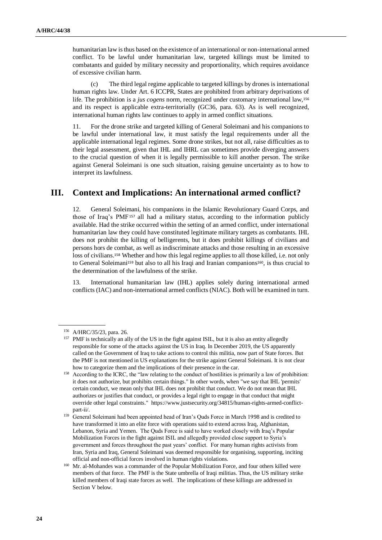humanitarian law is thus based on the existence of an international or non-international armed conflict. To be lawful under humanitarian law, targeted killings must be limited to combatants and guided by military necessity and proportionality, which requires avoidance of excessive civilian harm.

(c) The third legal regime applicable to targeted killings by drones is international human rights law. Under Art. 6 ICCPR, States are prohibited from arbitrary deprivations of life. The prohibition is a *jus cogens* norm, recognized under customary international law,<sup>156</sup> and its respect is applicable extra-territorially (GC36, para. 63). As is well recognized, international human rights law continues to apply in armed conflict situations.

11. For the drone strike and targeted killing of General Soleimani and his companions to be lawful under international law, it must satisfy the legal requirements under all the applicable international legal regimes. Some drone strikes, but not all, raise difficulties as to their legal assessment, given that IHL and IHRL can sometimes provide diverging answers to the crucial question of when it is legally permissible to kill another person. The strike against General Soleimani is one such situation, raising genuine uncertainty as to how to interpret its lawfulness.

# **III. Context and Implications: An international armed conflict?**

12. General Soleimani, his companions in the Islamic Revolutionary Guard Corps, and those of Iraq's PMF<sup>157</sup> all had a military status, according to the information publicly available. Had the strike occurred within the setting of an armed conflict, under international humanitarian law they could have constituted legitimate military targets as combatants. IHL does not prohibit the killing of belligerents, but it does prohibit killings of civilians and persons hors de combat, as well as indiscriminate attacks and those resulting in an excessive loss of civilians.<sup>158</sup> Whether and how this legal regime applies to all those killed, i.e. not only to General Soleimani<sup>159</sup> but also to all his Iraqi and Iranian companions<sup>160</sup>, is thus crucial to the determination of the lawfulness of the strike.

13. International humanitarian law (IHL) applies solely during international armed conflicts (IAC) and non-international armed conflicts (NIAC). Both will be examined in turn.

<sup>156</sup> A/HRC/35/23, para. 26.

<sup>&</sup>lt;sup>157</sup> PMF is technically an ally of the US in the fight against ISIL, but it is also an entity allegedly responsible for some of the attacks against the US in Iraq. In December 2019, the US apparently called on the Government of Iraq to take actions to control this militia, now part of State forces. But the PMF is not mentioned in US explanations for the strike against General Soleimani. It is not clear how to categorize them and the implications of their presence in the car.

<sup>&</sup>lt;sup>158</sup> According to the ICRC, the "law relating to the conduct of hostilities is primarily a law of prohibition: it does not authorize, but prohibits certain things." In other words, when "we say that IHL 'permits' certain conduct, we mean only that IHL does not prohibit that conduct. We do not mean that IHL authorizes or justifies that conduct, or provides a legal right to engage in that conduct that might override other legal constraints." [https://www.justsecurity.org/34815/human-rights-armed-conflict](https://www.justsecurity.org/34815/human-rights-armed-conflict-part-ii/)[part-ii/.](https://www.justsecurity.org/34815/human-rights-armed-conflict-part-ii/)

<sup>&</sup>lt;sup>159</sup> General Soleimani had been appointed head of Iran's Quds Force in March 1998 and is credited to have transformed it into an elite force with operations said to extend across Iraq, Afghanistan, Lebanon, Syria and Yemen. The Quds Force is said to have worked closely with Iraq's Popular Mobilization Forces in the fight against ISIL and allegedly provided close support to Syria's government and forces throughout the past years' conflict. For many human rights activists from Iran, Syria and Iraq, General Soleimani was deemed responsible for organising, supporting, inciting official and non-official forces involved in human rights violations.

<sup>&</sup>lt;sup>160</sup> Mr. al-Mohandes was a commander of the Popular Mobilization Force, and four others killed were members of that force. The PMF is the State umbrella of Iraqi militias. Thus, the US military strike killed members of Iraqi state forces as well. The implications of these killings are addressed in Section V below.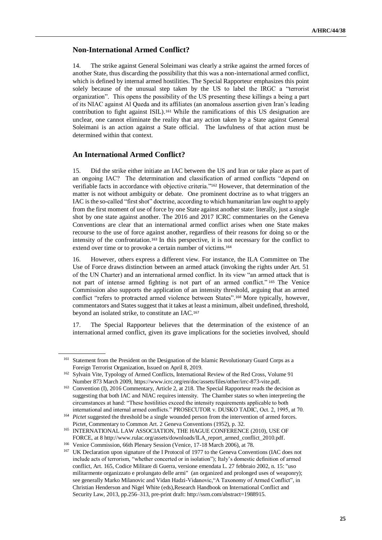#### **Non-International Armed Conflict?**

14. The strike against General Soleimani was clearly a strike against the armed forces of another State, thus discarding the possibility that this was a non-international armed conflict, which is defined by internal armed hostilities. The Special Rapporteur emphasizes this point solely because of the unusual step taken by the US to label the IRGC a "terrorist organization". This opens the possibility of the US presenting these killings a being a part of its NIAC against Al Queda and its affiliates (an anomalous assertion given Iran's leading contribution to fight against ISIL). <sup>161</sup> While the ramifications of this US designation are unclear, one cannot eliminate the reality that any action taken by a State against General Soleimani is an action against a State official. The lawfulness of that action must be determined within that context.

#### **An International Armed Conflict?**

15. Did the strike either initiate an IAC between the US and Iran or take place as part of an ongoing IAC? The determination and classification of armed conflicts "depend on verifiable facts in accordance with objective criteria."<sup>162</sup> However, that determination of the matter is not without ambiguity or debate. One prominent doctrine as to what triggers an IAC is the so-called "first shot" doctrine, according to which humanitarian law ought to apply from the first moment of use of force by one State against another state: literally, just a single shot by one state against another. The 2016 and 2017 ICRC commentaries on the Geneva Conventions are clear that an international armed conflict arises when one State makes recourse to the use of force against another, regardless of their reasons for doing so or the intensity of the confrontation.<sup>163</sup> In this perspective, it is not necessary for the conflict to extend over time or to provoke a certain number of victims.<sup>164</sup>

16. However, others express a different view. For instance, the ILA Committee on The Use of Force draws distinction between an armed attack (invoking the rights under Art. 51 of the UN Charter) and an international armed conflict. In its view "an armed attack that is not part of intense armed fighting is not part of an armed conflict." <sup>165</sup> The Venice Commission also supports the application of an intensity threshold, arguing that an armed conflict "refers to protracted armed violence between States".<sup>166</sup> More typically, however, commentators and States suggest that it takes at least a minimum, albeit undefined, threshold, beyond an isolated strike, to constitute an IAC.<sup>167</sup>

17. The Special Rapporteur believes that the determination of the existence of an international armed conflict, given its grave implications for the societies involved, should

<sup>&</sup>lt;sup>161</sup> Statement from the President on the Designation of the Islamic Revolutionary Guard Corps as a Foreign Terrorist Organization, Issued on April 8, 2019.

<sup>162</sup> Sylvain Vite, Typology of Armed Conflicts, International Review of the Red Cross, Volume 91 Number 873 March 2009, [https://www.icrc.org/en/doc/assets/files/other/irrc-873-vite.pdf.](https://www.icrc.org/en/doc/assets/files/other/irrc-873-vite.pdf)

<sup>&</sup>lt;sup>163</sup> Convention (I), 2016 Commentary, Article 2, at 218. The Special Rapporteur reads the decision as suggesting that both IAC and NIAC requires intensity. The Chamber states so when interpreting the circumstances at hand: "These hostilities exceed the intensity requirements applicable to both international and internal armed conflicts." PROSECUTOR v. DUSKO TADIC, Oct. 2, 1995, at 70.

<sup>&</sup>lt;sup>164</sup> *Pictet* suggested the threshold be a single wounded person from the intervention of armed forces. Pictet, Commentary to Common Art. 2 Geneva Conventions (1952), p. 32.

<sup>165</sup> INTERNATIONAL LAW ASSOCIATION, THE HAGUE CONFERENCE (2010), USE OF FORCE, at [8 http://www.rulac.org/assets/downloads/ILA\\_report\\_armed\\_conflict\\_2010.pdf.](http://www.rulac.org/assets/downloads/ILA_report_armed_conflict_2010.pdf)

<sup>&</sup>lt;sup>166</sup> Venice Commission, 66th Plenary Session (Venice, 17-18 March 2006), at 78.

<sup>&</sup>lt;sup>167</sup> UK Declaration upon signature of the I Protocol of 1977 to the Geneva Conventions (IAC does not include acts of terrorism, "whether concerted or in isolation"); Italy's domestic definition of armed conflict, Art. 165, Codice Militare di Guerra, versione emendata L. 27 febbraio 2002, n. 15: "uso militarmente organizzato e prolungato delle armi" (an organized and prolonged uses of weaponry); see generally Marko Milanovic and Vidan Hadzi-Vidanovic,"A Taxonomy of Armed Conflict", in Christian Henderson and Nigel White (eds),Research Handbook on International Conflict and Security Law, 2013, pp.256–313, pre-print draft[: http://ssrn.com/abstract=1988915.](http://ssrn.com/abstract=1988915)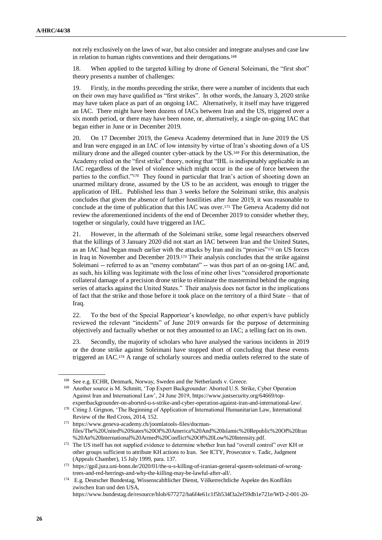not rely exclusively on the laws of war, but also consider and integrate analyses and case law in relation to human rights conventions and their derogations.<sup>168</sup>

18. When applied to the targeted killing by drone of General Soleimani, the "first shot" theory presents a number of challenges:

19. Firstly, in the months preceding the strike, there were a number of incidents that each on their own may have qualified as "first strikes". In other words, the January 3, 2020 strike may have taken place as part of an ongoing IAC. Alternatively, it itself may have triggered an IAC. There might have been dozens of IACs between Iran and the US, triggered over a six month period, or there may have been none, or, alternatively, a single on-going IAC that began either in June or in December 2019.

20. On 17 December 2019, the Geneva Academy determined that in June 2019 the US and Iran were engaged in an IAC of low intensity by virtue of Iran's shooting down of a US military drone and the alleged counter cyber-attack by the US.<sup>169</sup> For this determination, the Academy relied on the "first strike" theory, noting that "IHL is indisputably applicable in an IAC regardless of the level of violence which might occur in the use of force between the parties to the conflict."<sup>170</sup> They found in particular that Iran's action of shooting down an unarmed military drone, assumed by the US to be an accident, was enough to trigger the application of IHL. Published less than 3 weeks before the Soleimani strike, this analysis concludes that given the absence of further hostilities after June 2019, it was reasonable to conclude at the time of publication that this IAC was over.<sup>171</sup> The Geneva Academy did not review the aforementioned incidents of the end of December 2019 to consider whether they, together or singularly, could have triggered an IAC.

21. However, in the aftermath of the Soleimani strike, some legal researchers observed that the killings of 3 January 2020 did not start an IAC between Iran and the United States, as an IAC had began much earlier with the attacks by Iran and its "proxies"<sup>172</sup> on US forces in Iraq in November and December 2019.<sup>173</sup> Their analysis concludes that the strike against Soleimani -- referred to as an "enemy combatant" -- was thus part of an on-going IAC and, as such, his killing was legitimate with the loss of nine other lives "considered proportionate collateral damage of a precision drone strike to eliminate the mastermind behind the ongoing series of attacks against the United States." Their analysis does not factor in the implications of fact that the strike and those before it took place on the territory of a third State – that of Iraq.

22. To the best of the Special Rapporteur's knowledge, no other expert/s have publicly reviewed the relevant "incidents" of June 2019 onwards for the purpose of determining objectively and factually whether or not they amounted to an IAC; a telling fact on its own.

23. Secondly, the majority of scholars who have analysed the various incidents in 2019 or the drone strike against Soleimani have stopped short of concluding that these events triggered an IAC.<sup>174</sup> A range of scholarly sources and media outlets referred to the state of

<sup>168</sup> See e.g. ECHR, Denmark, Norway, Sweden and the Netherlands v. Greece.

<sup>169</sup> Another source is M. Schmitt, 'Top Expert Backgrounder: Aborted U.S. Strike, Cyber Operation Against Iran and International Law', 24 June 2019, [https://www.justsecurity.org/64669/top-](https://www.justsecurity.org/64669/top-expertbackgrounder-on-aborted-u-s-strike-and-cyber-operation-against-iran-and-international-law/)

[expertbackgrounder-on-aborted-u-s-strike-and-cyber-operation-against-iran-and-international-law/.](https://www.justsecurity.org/64669/top-expertbackgrounder-on-aborted-u-s-strike-and-cyber-operation-against-iran-and-international-law/) <sup>170</sup> Citing J. Grignon, 'The Beginning of Application of International Humanitarian Law, International Review of the Red Cross, 2014, 152.

<sup>171</sup> [https://www.geneva-academy.ch/joomlatools-files/docman](https://www.geneva-academy.ch/joomlatools-files/docman-files/The%20United%20States%20Of%20America%20And%20Islamic%20Republic%20Of%20Iran%20An%20International%20Armed%20Conflict%20Of%20Low%20Intensity.pdf)[files/The%20United%20States%20Of%20America%20And%20Islamic%20Republic%20Of%20Iran](https://www.geneva-academy.ch/joomlatools-files/docman-files/The%20United%20States%20Of%20America%20And%20Islamic%20Republic%20Of%20Iran%20An%20International%20Armed%20Conflict%20Of%20Low%20Intensity.pdf) [%20An%20International%20Armed%20Conflict%20Of%20Low%20Intensity.pdf.](https://www.geneva-academy.ch/joomlatools-files/docman-files/The%20United%20States%20Of%20America%20And%20Islamic%20Republic%20Of%20Iran%20An%20International%20Armed%20Conflict%20Of%20Low%20Intensity.pdf)

<sup>172</sup> The US itself has not supplied evidence to determine whether Iran had "overall control" over KH or other groups sufficient to attribute KH actions to Iran. See ICTY, Prosecutor v. Tadic, Judgment (Appeals Chamber), 15 July 1999, para. 137.

<sup>173</sup> [https://gpil.jura.uni-bonn.de/2020/01/the-u-s-killing-of-iranian-general-qasem-soleimani-of-wrong](https://gpil.jura.uni-bonn.de/2020/01/the-u-s-killing-of-iranian-general-qasem-soleimani-of-wrong-trees-and-red-herrings-and-why-the-killing-may-be-lawful-after-all/)[trees-and-red-herrings-and-why-the-killing-may-be-lawful-after-all/.](https://gpil.jura.uni-bonn.de/2020/01/the-u-s-killing-of-iranian-general-qasem-soleimani-of-wrong-trees-and-red-herrings-and-why-the-killing-may-be-lawful-after-all/)

<sup>174</sup> E.g. Deutscher Bundestag, Wissenscahftlicher Dienst, Völkerrechtliche Aspekte des Konflikts zwischen Iran und den USA,

[https://www.bundestag.de/resource/blob/677272/ba6f4e61c1f5b534f3a2ef59db1e721e/WD-2-001-20-](https://www.bundestag.de/resource/blob/677272/ba6f4e61c1f5b534f3a2ef59db1e721e/WD-2-001-20-pdf-data.pdf)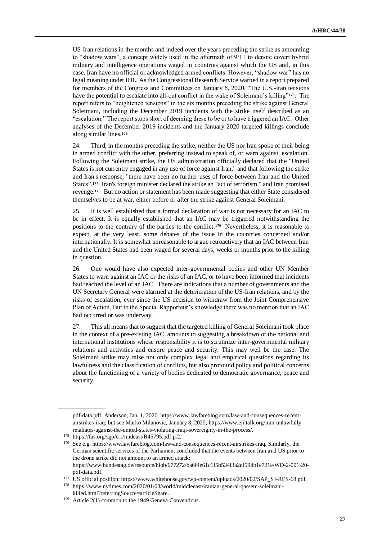US-Iran relations in the months and indeed over the years preceding the strike as amounting to "shadow wars", a concept widely used in the aftermath of 9/11 to denote covert hybrid military and intelligence operations waged in countries against which the US and, in this case, Iran have no official or acknowledged armed conflicts. However, "shadow war" has no legal meaning under IHL. As the Congressional Research Service warned in a report prepared for members of the Congress and Committees on January 6, 2020, "The U.S.-Iran tensions have the potential to escalate into all-out conflict in the wake of Soleimani's killing"<sup>175</sup>. The report refers to "heightened tensions" in the six months preceding the strike against General Soleimani, including the December 2019 incidents with the strike itself described as an "escalation." The report stops short of deeming these to be or to have triggered an IAC. Other analyses of the December 2019 incidents and the January 2020 targeted killings conclude along similar lines.<sup>176</sup>

24. Third, in the months preceding the strike, neither the US nor Iran spoke of their being in armed conflict with the other, preferring instead to speak of, or warn against, escalation. Following the Soleimani strike, the US administration officially declared that the "United States is not currently engaged in any use of force against Iran," and that following the strike and Iran's response, "there have been no further uses of force between Iran and the United States".<sup>177</sup> Iran's foreign minister declared the strike an "act of terrorism," and Iran promised revenge.<sup>178</sup> But no action or statement has been made suggesting that either State considered themselves to be at war, either before or after the strike against General Soleimani.

25. It is well established that a formal declaration of war is not necessary for an IAC to be in effect. It is equally established that an IAC may be triggered notwithstanding the positions to the contrary of the parties to the conflict.<sup>179</sup> Nevertheless, it is reasonable to expect, at the very least, some debates of the issue in the countries concerned and/or internationally. It is somewhat unreasonable to argue retroactively that an IAC between Iran and the United States had been waged for several days, weeks or months prior to the killing in question.

26. One would have also expected inter-governmental bodies and other UN Member States to warn against an IAC or the risks of an IAC, or to have been informed that incidents had reached the level of an IAC. There are indications that a number of governments and the UN Secretary General were alarmed at the deterioration of the US-Iran relations, and by the risks of escalation, ever since the US decision to withdraw from the Joint Comprehensive Plan of Action. But to the Special Rapporteur's knowledge there was no mention that an IAC had occurred or was underway.

27. This all means that to suggest that the targeted killing of General Soleimani took place in the context of a pre-existing IAC, amounts to suggesting a breakdown of the national and international institutions whose responsibility it is to scrutinize inter-governmental military relations and activities and ensure peace and security. This may well be the case. The Soleimani strike may raise not only complex legal and empirical questions regarding its lawfulness and the classification of conflicts, but also profound policy and political concerns about the functioning of a variety of bodies dedicated to democratic governance, peace and security.

[pdf-data.pdf;](https://www.bundestag.de/resource/blob/677272/ba6f4e61c1f5b534f3a2ef59db1e721e/WD-2-001-20-pdf-data.pdf) Anderson, Jan. 1, 2020, [https://www.lawfareblog.com/law-and-consequences-recent](https://www.lawfareblog.com/law-and-consequences-recent-airstrikes-iraq)[airstrikes-iraq;](https://www.lawfareblog.com/law-and-consequences-recent-airstrikes-iraq) but see Marko Milanovic, January 8, 2020, [https://www.ejiltalk.org/iran-unlawfully](https://www.ejiltalk.org/iran-unlawfully-retaliates-against-the-united-states-violating-iraqi-sovereignty-in-the-process/)[retaliates-against-the-united-states-violating-iraqi-sovereignty-in-the-process/.](https://www.ejiltalk.org/iran-unlawfully-retaliates-against-the-united-states-violating-iraqi-sovereignty-in-the-process/)

<sup>175</sup> <https://fas.org/sgp/crs/mideast/R45795.pdf> p.2.

<sup>176</sup> See e.g. [https://www.lawfareblog.com/law-and-consequences-recent-airstrikes-iraq.](https://www.lawfareblog.com/law-and-consequences-recent-airstrikes-iraq) Similarly, the German scientific services of the Parliament concluded that the events between Iran and US prior to the drone strike did not amount to an armed attack: [https://www.bundestag.de/resource/blob/677272/ba6f4e61c1f5b534f3a2ef59db1e721e/WD-2-001-20-](https://www.bundestag.de/resource/blob/677272/ba6f4e61c1f5b534f3a2ef59db1e721e/WD-2-001-20-pdf-data.pdf)

[pdf-data.pdf.](https://www.bundestag.de/resource/blob/677272/ba6f4e61c1f5b534f3a2ef59db1e721e/WD-2-001-20-pdf-data.pdf)

<sup>&</sup>lt;sup>177</sup> US official position: [https://www.whitehouse.gov/wp-content/uploads/2020/02/SAP\\_SJ-RES-68.pdf.](https://www.whitehouse.gov/wp-content/uploads/2020/02/SAP_SJ-RES-68.pdf)

<sup>178</sup> https://www.nytimes.com/2020/01/03/world/middleeast/iranian-general-qassem-soleimanikilled.html?referringSource=articleShare.

<sup>&</sup>lt;sup>179</sup> Article 2(1) common to the 1949 Geneva Conventions.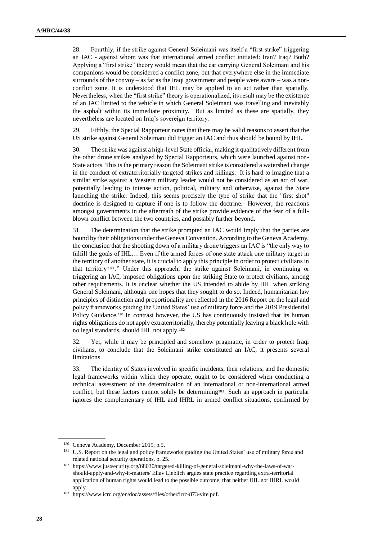28. Fourthly, if the strike against General Soleimani was itself a "first strike" triggering an IAC - against whom was that international armed conflict initiated: Iran? Iraq? Both? Applying a "first strike" theory would mean that the car carrying General Soleimani and his companions would be considered a conflict zone, but that everywhere else in the immediate surrounds of the convoy – as far as the Iraqi government and people were aware – was a nonconflict zone. It is understood that IHL may be applied to an act rather than spatially. Nevertheless, when the "first strike" theory is operationalized, its result may be the existence of an IAC limited to the vehicle in which General Soleimani was travelling and inevitably the asphalt within its immediate proximity. But as limited as these are spatially, they nevertheless are located on Iraq's sovereign territory.

29. Fifthly, the Special Rapporteur notes that there may be valid reasons to assert that the US strike against General Soleimani did trigger an IAC and thus should be bound by IHL.

30. The strike was against a high-level State official, making it qualitatively different from the other drone strikes analysed by Special Rapporteurs, which were launched against non-State actors. This is the primary reason the Soleimani strike is considered a watershed change in the conduct of extraterritorially targeted strikes and killings. It is hard to imagine that a similar strike against a Western military leader would not be considered as an act of war, potentially leading to intense action, political, military and otherwise, against the State launching the strike. Indeed, this seems precisely the type of strike that the "first shot" doctrine is designed to capture if one is to follow the doctrine. However, the reactions amongst governments in the aftermath of the strike provide evidence of the fear of a fullblown conflict between the two countries, and possibly further beyond.

31. The determination that the strike prompted an IAC would imply that the parties are bound by their obligations under the Geneva Convention. According to the Geneva Academy, the conclusion that the shooting down of a military drone triggers an IAC is "the only way to fulfill the goals of IHL… Even if the armed forces of one state attack one military target in the territory of another state, it is crucial to apply this principle in order to protect civilians in that territory <sup>180</sup> ." Under this approach, the strike against Soleimani, in continuing or triggering an IAC, imposed obligations upon the striking State to protect civilians, among other requirements. It is unclear whether the US intended to abide by IHL when striking General Soleimani, although one hopes that they sought to do so. Indeed, humanitarian law principles of distinction and proportionality are reflected in the 2016 Report on the legal and policy frameworks guiding the United States' use of military force and the 2019 Presidential Policy Guidance.<sup>181</sup> In contrast however, the US has continuously insisted that its human rights obligations do not apply extraterritorially, thereby potentially leaving a black hole with no legal standards, should IHL not apply. 182

32. Yet, while it may be principled and somehow pragmatic, in order to protect Iraqi civilians, to conclude that the Soleimani strike constituted an IAC, it presents several limitations.

33. The identity of States involved in specific incidents, their relations, and the domestic legal frameworks within which they operate, ought to be considered when conducting a technical assessment of the determination of an international or non-international armed conflict, but these factors cannot solely be determining<sup>183</sup>. Such an approach in particular ignores the complementary of IHL and IHRL in armed conflict situations, confirmed by

<sup>180</sup> Geneva Academy, December 2019, p.5.

<sup>&</sup>lt;sup>181</sup> U.S. Report on the legal and policy frameworks guiding the United States' use of military force and related national security operations, p. 25.

<sup>182</sup> [https://www.justsecurity.org/68030/targeted-killing-of-general-soleimani-why-the-laws-of-war](https://www.justsecurity.org/68030/targeted-killing-of-general-soleimani-why-the-laws-of-war-should-apply-and-why-it-matters/)[should-apply-and-why-it-matters/](https://www.justsecurity.org/68030/targeted-killing-of-general-soleimani-why-the-laws-of-war-should-apply-and-why-it-matters/) [Eliav Lieblich](https://www.justsecurity.org/68030/targeted-killing-of-general-soleimani-why-the-laws-of-war-should-apply-and-why-it-matters/) argues state practice regarding extra-territorial application of human rights would lead to the possible outcome, that neither IHL nor IHRL would apply.

<sup>183</sup> [https://www.icrc.org/en/doc/assets/files/other/irrc-873-vite.pdf.](https://www.icrc.org/en/doc/assets/files/other/irrc-873-vite.pdf)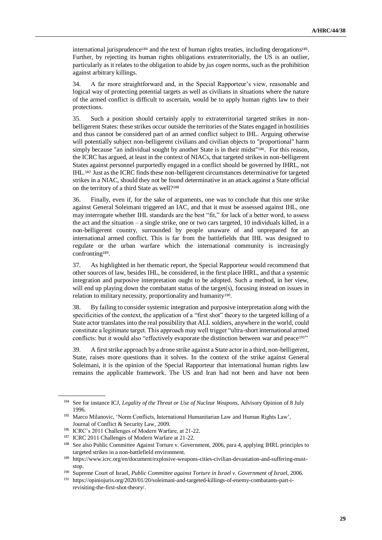international jurisprudence<sup>184</sup> and the text of human rights treaties, including derogations<sup>185</sup>. Further, by rejecting its human rights obligations extraterritorially, the US is an outlier, particularly as it relates to the obligation to abide by *jus cogen* norms, such as the prohibition against arbitrary killings.

34. A far more straightforward and, in the Special Rapporteur's view, reasonable and logical way of protecting potential targets as well as civilians in situations where the nature of the armed conflict is difficult to ascertain, would be to apply human rights law to their protections.

35. Such a position should certainly apply to extraterritorial targeted strikes in nonbelligerent States: these strikes occur outside the territories of the States engaged in hostilities and thus cannot be considered part of an armed conflict subject to IHL. Arguing otherwise will potentially subject non-belligerent civilians and civilian objects to "proportional" harm simply because "an individual sought by another State is in their midst"<sup>186</sup>. For this reason, the ICRC has argued, at least in the context of NIACs, that targeted strikes in non-belligerent States against personnel purportedly engaged in a conflict should be governed by IHRL, not IHL.<sup>187</sup> Just as the ICRC finds these non-belligerent circumstances determinative for targeted strikes in a NIAC, should they not be found determinative in an attack against a State official on the territory of a third State as well?<sup>188</sup>

36. Finally, even if, for the sake of arguments, one was to conclude that this one strike against General Soleimani triggered an IAC, and that it must be assessed against IHL, one may interrogate whether IHL standards are the best "fit," for lack of a better word, to assess the act and the situation – a single strike, one or two cars targeted, 10 individuals killed, in a non-belligerent country, surrounded by people unaware of and unprepared for an international armed conflict. This is far from the battlefields that IHL was designed to regulate or the urban warfare which the international community is increasingly confronting<sup>189</sup> .

37. As highlighted in her thematic report, the Special Rapporteur would recommend that other sources of law, besides IHL, be considered, in the first place IHRL, and that a systemic integration and purposive interpretation ought to be adopted. Such a method, in her view, will end up playing down the combatant status of the target(s), focusing instead on issues in relation to military necessity, proportionality and humanity<sup>190</sup>.

38. By failing to consider systemic integration and purposive interpretation along with the specificities of the context, the application of a "first shot" theory to the targeted killing of a State actor translates into the real possibility that ALL soldiers, anywhere in the world, could constitute a legitimate target. This approach may well trigger "ultra-short international armed conflicts: but it would also "effectively evaporate the distinction between war and peace<sup>191"</sup>

39. A first strike approach by a drone strike against a State actor in a third, non-belligerent, State, raises more questions than it solves. In the context of the strike against General Soleimani, it is the opinion of the Special Rapporteur that international human rights law remains the applicable framework. The US and Iran had not been and have not been

<sup>184</sup> See for instance ICJ, *Legality of the Threat or Use of Nuclear Weapons*, Advisory Opinion of 8 July 1996.

<sup>&</sup>lt;sup>185</sup> Marco Milanovic, 'Norm Conflicts, International Humanitarian Law and Human Rights Law', Journal of Conflict & Security Law, 2009.

<sup>186</sup> ICRC's 2011 Challenges of Modern Warfare, at 21-22.

<sup>&</sup>lt;sup>187</sup> ICRC 2011 Challenges of Modern Warfare at 21-22.

<sup>&</sup>lt;sup>188</sup> See also Public Committee Against Torture v. Government, 2006, para 4, applying IHRL principles to targeted strikes in a non-battlefield environment.

<sup>189</sup> [https://www.icrc.org/en/document/explosive-weapons-cities-civilian-devastation-and-suffering-must](https://www.icrc.org/en/document/explosive-weapons-cities-civilian-devastation-and-suffering-must-stop)[stop.](https://www.icrc.org/en/document/explosive-weapons-cities-civilian-devastation-and-suffering-must-stop)

<sup>190</sup> Supreme Court of Israel, *Public Committee against Torture in Israel v. Government of Israel*, 2006.

<sup>191</sup> [https://opiniojuris.org/2020/01/20/soleimani-and-targeted-killings-of-enemy-combatants-part-i](https://opiniojuris.org/2020/01/20/soleimani-and-targeted-killings-of-enemy-combatants-part-i-revisiting-the-first-shot-theory/)[revisiting-the-first-shot-theory/.](https://opiniojuris.org/2020/01/20/soleimani-and-targeted-killings-of-enemy-combatants-part-i-revisiting-the-first-shot-theory/)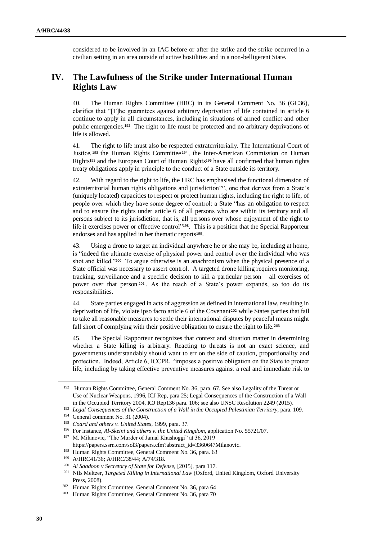considered to be involved in an IAC before or after the strike and the strike occurred in a civilian setting in an area outside of active hostilities and in a non-belligerent State.

# **IV. The Lawfulness of the Strike under International Human Rights Law**

40. The Human Rights Committee (HRC) in its General Comment No. 36 (GC36), clarifies that "[T]he guarantees against arbitrary deprivation of life contained in article 6 continue to apply in all circumstances, including in situations of armed conflict and other public emergencies.<sup>192</sup> The right to life must be protected and no arbitrary deprivations of life is allowed.

41. The right to life must also be respected extraterritorially. The International Court of Justice, <sup>193</sup> the Human Rights Committee <sup>194</sup> , the Inter-American Commission on Human Rights<sup>195</sup> and the European Court of Human Rights<sup>196</sup> have all confirmed that human rights treaty obligations apply in principle to the conduct of a State outside its territory.

42. With regard to the right to life, the HRC has emphasised the functional dimension of extraterritorial human rights obligations and jurisdiction<sup>197</sup>, one that derives from a State's (uniquely located) capacities to respect or protect human rights, including the right to life, of people over which they have some degree of control: a State "has an obligation to respect and to ensure the rights under article 6 of all persons who are within its territory and all persons subject to its jurisdiction, that is, all persons over whose enjoyment of the right to life it exercises power or effective control"<sup>198</sup>. This is a position that the Special Rapporteur endorses and has applied in her thematic reports<sup>199</sup>.

43. Using a drone to target an individual anywhere he or she may be, including at home, is "indeed the ultimate exercise of physical power and control over the individual who was shot and killed."<sup>200</sup> To argue otherwise is an anachronism when the physical presence of a State official was necessary to assert control. A targeted drone killing requires monitoring, tracking, surveillance and a specific decision to kill a particular person – all exercises of power over that person <sup>201</sup> . As the reach of a State's power expands, so too do its responsibilities.

44. State parties engaged in acts of aggression as defined in international law, resulting in deprivation of life, violate ipso facto article 6 of the Covenant<sup>202</sup> while States parties that fail to take all reasonable measures to settle their international disputes by peaceful means might fall short of complying with their positive obligation to ensure the right to life.<sup>203</sup>

45. The Special Rapporteur recognizes that context and situation matter in determining whether a State killing is arbitrary. Reacting to threats is not an exact science, and governments understandably should want to err on the side of caution, proportionality and protection. Indeed, Article 6, ICCPR, "imposes a positive obligation on the State to protect life, including by taking effective preventive measures against a real and immediate risk to

<sup>&</sup>lt;sup>192</sup> Human Rights Committee, General Comment No. 36, para. 67. See also Legality of the Threat or Use of Nuclear Weapons, 1996, ICJ Rep, para 25; Legal Consequences of the Construction of a Wall in the Occupied Territory 2004, ICJ Rep136 para. 106; see also UNSC Resolution 2249 (2015).

<sup>&</sup>lt;sup>193</sup> *Legal Consequences of the Construction of a Wall in the Occupied Palestinian Territory*, para. 109.

<sup>194</sup> General comment No. 31 (2004).

<sup>195</sup> *Coard and others v. United States*, 1999, para. 37.

<sup>196</sup> For instance, *Al-Skeini and others v. the United Kingdom*, application No. 55721/07.

<sup>&</sup>lt;sup>197</sup> M. Milanovic, "The Murder of Jamal Khashoggi" at 36, 2019

[https://papers.ssrn.com/sol3/papers.cfm?abstract\\_id=3360647Milanovic.](https://papers.ssrn.com/sol3/papers.cfm?abstract_id=3360647Milanovic)

<sup>&</sup>lt;sup>198</sup> Human Rights Committee, General Comment No. 36, para. 63

<sup>199</sup> A/HRC41/36; A/HRC/38/44; A/74/318.

<sup>200</sup> *Al Saadoon v Secretary of State for Defense,* [2015], para 117.

<sup>201</sup> Nils Meltzer, *Targeted Killing in International Law* (Oxford, United Kingdom, Oxford University Press, 2008).

<sup>202</sup> Human Rights Committee, General Comment No. 36, para 64

<sup>203</sup> Human Rights Committee, General Comment No. 36, para 70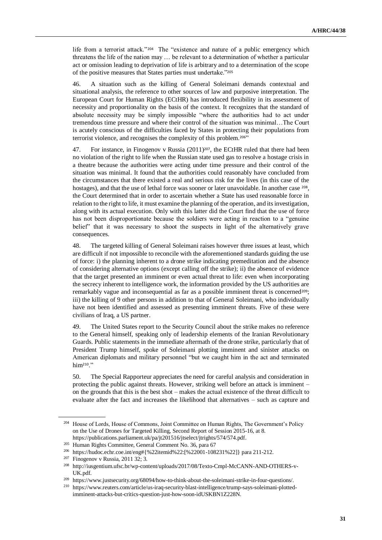life from a terrorist attack."<sup>204</sup> The "existence and nature of a public emergency which threatens the life of the nation may … be relevant to a determination of whether a particular act or omission leading to deprivation of life is arbitrary and to a determination of the scope of the positive measures that States parties must undertake."<sup>205</sup>

46. A situation such as the killing of General Soleimani demands contextual and situational analysis, the reference to other sources of law and purposive interpretation. The European Court for Human Rights (ECtHR) has introduced flexibility in its assessment of necessity and proportionality on the basis of the context. It recognizes that the standard of absolute necessity may be simply impossible "where the authorities had to act under tremendous time pressure and where their control of the situation was minimal…The Court is acutely conscious of the difficulties faced by States in protecting their populations from terrorist violence, and recognises the complexity of this problem.206"

47. For instance, in Finogenov v Russia (2011)<sup>207</sup>, the ECtHR ruled that there had been no violation of the right to life when the Russian state used gas to resolve a hostage crisis in a theatre because the authorities were acting under time pressure and their control of the situation was minimal. It found that the authorities could reasonably have concluded from the circumstances that there existed a real and serious risk for the lives (in this case of the hostages), and that the use of lethal force was sooner or later unavoidable. In another case <sup>208</sup>, the Court determined that in order to ascertain whether a State has used reasonable force in relation to the right to life, it must examine the planning of the operation, and its investigation, along with its actual execution. Only with this latter did the Court find that the use of force has not been disproportionate because the soldiers were acting in reaction to a "genuine belief" that it was necessary to shoot the suspects in light of the alternatively grave consequences.

48. The targeted killing of General Soleimani raises however three issues at least, which are difficult if not impossible to reconcile with the aforementioned standards guiding the use of force: i) the planning inherent to a drone strike indicating premeditation and the absence of considering alternative options (except calling off the strike); ii) the absence of evidence that the target presented an imminent or even actual threat to life: even when incorporating the secrecy inherent to intelligence work, the information provided by the US authorities are remarkably vague and inconsequential as far as a possible imminent threat is concerned<sup>209</sup>; iii) the killing of 9 other persons in addition to that of General Soleimani, who individually have not been identified and assessed as presenting imminent threats. Five of these were civilians of Iraq, a US partner.

49. The United States report to the Security Council about the strike makes no reference to the General himself, speaking only of leadership elements of the Iranian Revolutionary Guards. Public statements in the immediate aftermath of the drone strike, particularly that of President Trump himself, spoke of Soleimani plotting imminent and sinister attacks on American diplomats and military personnel "but we caught him in the act and terminated him<sup>210</sup>."

50. The Special Rapporteur appreciates the need for careful analysis and consideration in protecting the public against threats. However, striking well before an attack is imminent – on the grounds that this is the best shot – makes the actual existence of the threat difficult to evaluate after the fact and increases the likelihood that alternatives – such as capture and

<sup>204</sup> House of Lords, House of Commons, Joint Committee on Human Rights, The Government's Policy on the Use of Drones for Targeted Killing, Second Report of Session 2015-16, at 8. [https://publications.parliament.uk/pa/jt201516/jtselect/jtrights/574/574.pdf.](https://publications.parliament.uk/pa/jt201516/jtselect/jtrights/574/574.pdf)

<sup>205</sup> Human Rights Committee, General Comment No. 36, para 67

<sup>206</sup> [https://hudoc.echr.coe.int/eng#{%22itemid%22:\[%22001-108231%22\]}](https://hudoc.echr.coe.int/eng#{%22itemid%22:[%22001-108231%22]}) para 211-212.

<sup>&</sup>lt;sup>207</sup> Finogenov v Russia, 2011 32; 3.

<sup>208</sup> [http://iusgentium.ufsc.br/wp-content/uploads/2017/08/Texto-Cmpl-McCANN-AND-OTHERS-v-](http://iusgentium.ufsc.br/wp-content/uploads/2017/08/Texto-Cmpl-McCANN-AND-OTHERS-v-UK.pdf)[UK.pdf.](http://iusgentium.ufsc.br/wp-content/uploads/2017/08/Texto-Cmpl-McCANN-AND-OTHERS-v-UK.pdf)

<sup>209</sup> [https://www.justsecurity.org/68094/how-to-think-about-the-soleimani-strike-in-four-questions/.](https://www.justsecurity.org/68094/how-to-think-about-the-soleimani-strike-in-four-questions/)

<sup>210</sup> [https://www.reuters.com/article/us-iraq-security-blast-intelligence/trump-says-soleimani-plotted](https://www.reuters.com/article/us-iraq-security-blast-intelligence/trump-says-soleimani-plotted-imminent-attacks-but-critics-question-just-how-soon-idUSKBN1Z228N)[imminent-attacks-but-critics-question-just-how-soon-idUSKBN1Z228N.](https://www.reuters.com/article/us-iraq-security-blast-intelligence/trump-says-soleimani-plotted-imminent-attacks-but-critics-question-just-how-soon-idUSKBN1Z228N)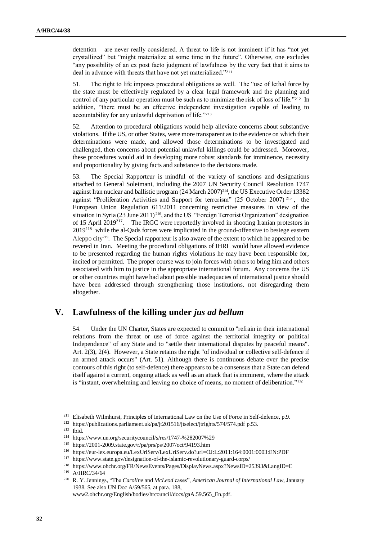detention – are never really considered. A threat to life is not imminent if it has "not yet crystallized" but "might materialize at some time in the future". Otherwise, one excludes "any possibility of an ex post facto judgment of lawfulness by the very fact that it aims to deal in advance with threats that have not yet materialized."<sup>211</sup>

51. The right to life imposes procedural obligations as well. The "use of lethal force by the state must be effectively regulated by a clear legal framework and the planning and control of any particular operation must be such as to minimize the risk of loss of life."<sup>212</sup> In addition, "there must be an effective independent investigation capable of leading to accountability for any unlawful deprivation of life."<sup>213</sup>

52. Attention to procedural obligations would help alleviate concerns about substantive violations. If the US, or other States, were more transparent as to the evidence on which their determinations were made, and allowed those determinations to be investigated and challenged, then concerns about potential unlawful killings could be addressed. Moreover, these procedures would aid in developing more robust standards for imminence, necessity and proportionality by giving facts and substance to the decisions made.

53. The Special Rapporteur is mindful of the variety of sanctions and designations attached to General Soleimani, including the 2007 UN Security Council Resolution 1747 against Iran nuclear and ballistic program (24 March 2007)214, the US Executive Order 13382 against "Proliferation Activities and Support for terrorism" (25 October 2007) <sup>215</sup> , the European Union Regulation 611/2011 concerning restrictive measures in view of the situation in Syria (23 June 2011)<sup>216</sup>, and the US "Foreign Terrorist Organization" designation of 15 April 2019<sup>217</sup>. The IRGC were reportedly involved in shooting Iranian protestors in 2019<sup>218</sup> while the al-Qads forces were implicated in the ground-offensive to besiege eastern Aleppo city<sup>219</sup>. The Special rapporteur is also aware of the extent to which he appeared to be revered in Iran. Meeting the procedural obligations of IHRL would have allowed evidence to be presented regarding the human rights violations he may have been responsible for, incited or permitted. The proper course was to join forces with others to bring him and others associated with him to justice in the appropriate international forum. Any concerns the US or other countries might have had about possible inadequacies of international justice should have been addressed through strengthening those institutions, not disregarding them altogether.

# **V. Lawfulness of the killing under** *jus ad bellum*

54. Under the UN Charter, States are expected to commit to "refrain in their international relations from the threat or use of force against the territorial integrity or political Independence" of any State and to "settle their international disputes by peaceful means". Art. 2(3), 2(4). However, a State retains the right "of individual or collective self-defence if an armed attack occurs" (Art. 51). Although there is continuous debate over the precise contours of this right (to self-defence) there appears to be a consensus that a State can defend itself against a current, ongoing attack as well as an attack that is imminent, where the attack is "instant, overwhelming and leaving no choice of means, no moment of deliberation."<sup>220</sup>

<sup>211</sup> Elisabeth Wilmhurst, Principles of International Law on the Use of Force in Self-defence, p.9.

<sup>212</sup> <https://publications.parliament.uk/pa/jt201516/jtselect/jtrights/574/574.pdf> p.53.

<sup>213</sup> Ibid.

<sup>214</sup> <https://www.un.org/securitycouncil/s/res/1747-%282007%29>

<sup>215</sup> <https://2001-2009.state.gov/r/pa/prs/ps/2007/oct/94193.htm>

<sup>216</sup> <https://eur-lex.europa.eu/LexUriServ/LexUriServ.do?uri=OJ:L:2011:164:0001:0003:EN:PDF>

<sup>217</sup> <https://www.state.gov/designation-of-the-islamic-revolutionary-guard-corps/>

<sup>218</sup> <https://www.ohchr.org/FR/NewsEvents/Pages/DisplayNews.aspx?NewsID=25393&LangID=E> <sup>219</sup> A/HRC/34/64

<sup>220</sup> R. Y. Jennings, "The *Caroline* and *McLeod* cases", *American Journal of International Law*, January 1938. See also UN Doc A/59/565, at para. 188,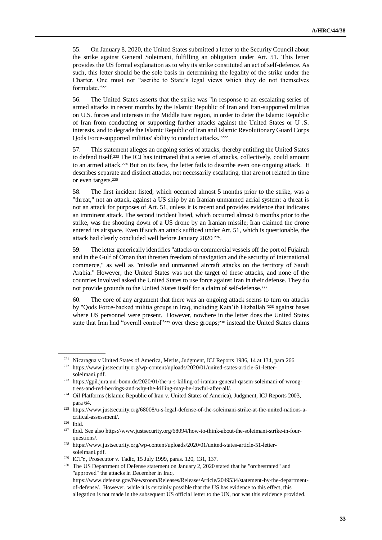55. On January 8, 2020, the United States submitted a letter to the Security Council about the strike against General Soleimani, fulfilling an obligation under Art. 51. This letter provides the US formal explanation as to why its strike constituted an act of self-defence. As such, this letter should be the sole basis in determining the legality of the strike under the Charter. One must not "ascribe to State's legal views which they do not themselves formulate."<sup>221</sup>

56. The United States asserts that the strike was "in response to an escalating series of armed attacks in recent months by the Islamic Republic of Iran and Iran-supported militias on U.S. forces and interests in the Middle East region, in order to deter the Islamic Republic of Iran from conducting or supporting further attacks against the United States or U .S. interests, and to degrade the Islamic Republic of Iran and Islamic Revolutionary Guard Corps Qods Force-supported militias' ability to conduct attacks."<sup>222</sup>

57. This statement alleges an ongoing series of attacks, thereby entitling the United States to defend itself.<sup>223</sup> The ICJ has intimated that a series of attacks, collectively, could amount to an armed attack.<sup>224</sup> But on its face, the letter fails to describe even one ongoing attack. It describes separate and distinct attacks, not necessarily escalating, that are not related in time or even targets.<sup>225</sup>

58. The first incident listed, which occurred almost 5 months prior to the strike, was a "threat," not an attack, against a US ship by an Iranian unmanned aerial system: a threat is not an attack for purposes of Art. 51, unless it is recent and provides evidence that indicates an imminent attack. The second incident listed, which occurred almost 6 months prior to the strike, was the shooting down of a US drone by an Iranian missile; Iran claimed the drone entered its airspace. Even if such an attack sufficed under Art. 51, which is questionable, the attack had clearly concluded well before January 2020 <sup>226</sup> .

59. The letter generically identifies "attacks on commercial vessels off the port of Fujairah and in the Gulf of Oman that threaten freedom of navigation and the security of international commerce," as well as "missile and unmanned aircraft attacks on the territory of Saudi Arabia." However, the United States was not the target of these attacks, and none of the countries involved asked the United States to use force against Iran in their defense. They do not provide grounds to the United States itself for a claim of self-defense.<sup>227</sup>

60. The core of any argument that there was an ongoing attack seems to turn on attacks by "Qods Force-backed militia groups in Iraq, including Kata'ib Hizballah"<sup>228</sup> against bases where US personnel were present. However, nowhere in the letter does the United States state that Iran had "overall control"<sup>229</sup> over these groups;<sup>230</sup> instead the United States claims

<sup>221</sup> Nicaragua v United States of America, Merits, Judgment, ICJ Reports 1986, 14 at 134, para 266.

<sup>222</sup> [https://www.justsecurity.org/wp-content/uploads/2020/01/united-states-article-51-letter](https://www.justsecurity.org/wp-content/uploads/2020/01/united-states-article-51-letter-soleimani.pdf)[soleimani.pdf.](https://www.justsecurity.org/wp-content/uploads/2020/01/united-states-article-51-letter-soleimani.pdf)

<sup>223</sup> https://gpil.jura.uni-bonn.de/2020/01/the-u-s-killing-of-iranian-general-qasem-soleimani-of-wrongtrees-and-red-herrings-and-why-the-killing-may-be-lawful-after-all/.

<sup>&</sup>lt;sup>224</sup> Oil Platforms (Islamic Republic of Iran v. United States of America), Judgment, ICJ Reports 2003, para 64.

<sup>225</sup> https://www.justsecurity.org/68008/u-s-legal-defense-of-the-soleimani-strike-at-the-united-nations-acritical-assessment/.

<sup>226</sup> Ibid.

<sup>227</sup> Ibid. See als[o https://www.justsecurity.org/68094/how-to-think-about-the-soleimani-strike-in-four](https://www.justsecurity.org/68094/how-to-think-about-the-soleimani-strike-in-four-questions/)[questions/.](https://www.justsecurity.org/68094/how-to-think-about-the-soleimani-strike-in-four-questions/)

<sup>228</sup> https://www.justsecurity.org/wp-content/uploads/2020/01/united-states-article-51-lettersoleimani.pdf.

<sup>229</sup> ICTY, Prosecutor v. Tadic, 15 July 1999, paras. 120, 131, 137.

<sup>&</sup>lt;sup>230</sup> The US Department of Defense statement on January 2, 2020 stated that he "orchestrated" and "approved" the attacks in December in Iraq.

[https://www.defense.gov/Newsroom/Releases/Release/Article/2049534/statement-by-the-department](https://www.defense.gov/Newsroom/Releases/Release/Article/2049534/statement-by-the-department-of-defense/)[of-defense/.](https://www.defense.gov/Newsroom/Releases/Release/Article/2049534/statement-by-the-department-of-defense/) However, while it is certainly possible that the US has evidence to this effect, this allegation is not made in the subsequent US official letter to the UN, nor was this evidence provided.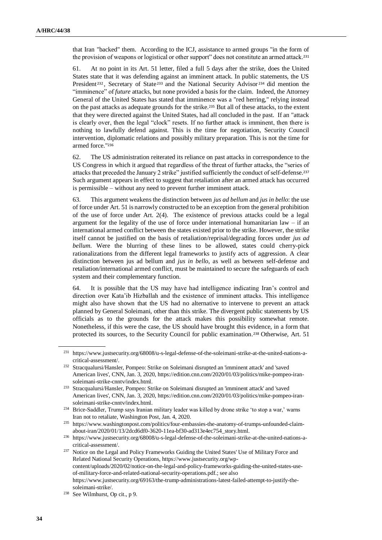that Iran "backed" them. According to the ICJ, assistance to armed groups "in the form of the provision of weapons or logistical or other support" does not constitute an armed attack.<sup>231</sup>

61. At no point in its Art. 51 letter, filed a full 5 days after the strike, does the United States state that it was defending against an imminent attack. In public statements, the US President<sup>232</sup>, Secretary of State<sup>233</sup> and the National Security Advisor<sup>234</sup> did mention the "imminence" of *future* attacks, but none provided a basis for the claim. Indeed, the Attorney General of the United States has stated that imminence was a "red herring," relying instead on the past attacks as adequate grounds for the strike.<sup>235</sup> But all of these attacks, to the extent that they were directed against the United States, had all concluded in the past. If an "attack is clearly over, then the legal "clock" resets. If no further attack is imminent, then there is nothing to lawfully defend against. This is the time for negotiation, Security Council intervention, diplomatic relations and possibly military preparation. This is not the time for armed force."<sup>236</sup>

62. The US administration reiterated its reliance on past attacks in correspondence to the US Congress in which it argued that regardless of the threat of further attacks, the "series of attacks that preceded the January 2 strike" justified sufficiently the conduct of self-defense.<sup>237</sup> Such argument appears in effect to suggest that retaliation after an armed attack has occurred is permissible – without any need to prevent further imminent attack.

63. This argument weakens the distinction between *jus ad bellum* and *jus in bello*: the use of force under Art. 51 is narrowly constructed to be an exception from the general prohibition of the use of force under Art. 2(4). The existence of previous attacks could be a legal argument for the legality of the use of force under international humanitarian law  $-$  if an international armed conflict between the states existed prior to the strike. However, the strike itself cannot be justified on the basis of retaliation/reprisal/degrading forces under *jus ad bellum*. Were the blurring of these lines to be allowed, states could cherry-pick rationalizations from the different legal frameworks to justify acts of aggression. A clear distinction between jus ad bellum and *jus in bello*, as well as between self-defense and retaliation/international armed conflict, must be maintained to secure the safeguards of each system and their complementary function.

64. It is possible that the US may have had intelligence indicating Iran's control and direction over Kata'ib Hizballah and the existence of imminent attacks. This intelligence might also have shown that the US had no alternative to intervene to prevent an attack planned by General Soleimani, other than this strike. The divergent public statements by US officials as to the grounds for the attack makes this possibility somewhat remote. Nonetheless, if this were the case, the US should have brought this evidence, in a form that protected its sources, to the Security Council for public examination.<sup>238</sup> Otherwise, Art. 51

<sup>231</sup> [https://www.justsecurity.org/68008/u-s-legal-defense-of-the-soleimani-strike-at-the-united-nations-a](https://www.justsecurity.org/68008/u-s-legal-defense-of-the-soleimani-strike-at-the-united-nations-a-critical-assessment/)[critical-assessment/.](https://www.justsecurity.org/68008/u-s-legal-defense-of-the-soleimani-strike-at-the-united-nations-a-critical-assessment/)

<sup>232</sup> Stracqualursi/Hansler, Pompeo: Strike on Soleimani disrupted an 'imminent attack' and 'saved American lives', CNN, Jan. 3, 2020, [https://edition.cnn.com/2020/01/03/politics/mike-pompeo-iran](https://edition.cnn.com/2020/01/03/politics/mike-pompeo-iran-soleimani-strike-cnntv/index.html)[soleimani-strike-cnntv/index.html.](https://edition.cnn.com/2020/01/03/politics/mike-pompeo-iran-soleimani-strike-cnntv/index.html)

<sup>233</sup> Stracqualursi/Hansler, Pompeo: Strike on Soleimani disrupted an 'imminent attack' and 'saved American lives', CNN, Jan. 3, 2020, [https://edition.cnn.com/2020/01/03/politics/mike-pompeo-iran](https://edition.cnn.com/2020/01/03/politics/mike-pompeo-iran-soleimani-strike-cnntv/index.html)[soleimani-strike-cnntv/index.html.](https://edition.cnn.com/2020/01/03/politics/mike-pompeo-iran-soleimani-strike-cnntv/index.html)

<sup>234</sup> Brice-Saddler, Trump says Iranian military leader was killed by drone strike 'to stop a war,' warns Iran not to retaliate, Washington Post, Jan. 4, 2020.

<sup>235</sup> [https://www.washingtonpost.com/politics/four-embassies-the-anatomy-of-trumps-unfounded-claim](https://www.washingtonpost.com/politics/four-embassies-the-anatomy-of-trumps-unfounded-claim-about-iran/2020/01/13/2dcd6df0-3620-11ea-bf30-ad313e4ec754_story.html)[about-iran/2020/01/13/2dcd6df0-3620-11ea-bf30-ad313e4ec754\\_story.html.](https://www.washingtonpost.com/politics/four-embassies-the-anatomy-of-trumps-unfounded-claim-about-iran/2020/01/13/2dcd6df0-3620-11ea-bf30-ad313e4ec754_story.html)

<sup>236</sup> [https://www.justsecurity.org/68008/u-s-legal-defense-of-the-soleimani-strike-at-the-united-nations-a](https://www.justsecurity.org/68008/u-s-legal-defense-of-the-soleimani-strike-at-the-united-nations-a-critical-assessment/)[critical-assessment/.](https://www.justsecurity.org/68008/u-s-legal-defense-of-the-soleimani-strike-at-the-united-nations-a-critical-assessment/)

<sup>&</sup>lt;sup>237</sup> Notice on the Legal and Policy Frameworks Guiding the United States' Use of Military Force and Related National Security Operations[, https://www.justsecurity.org/wp](https://www.justsecurity.org/wp-content/uploads/2020/02/notice-on-the-legal-and-policy-frameworks-guiding-the-united-states-use-of-military-force-and-related-national-security-operations.pdf)[content/uploads/2020/02/notice-on-the-legal-and-policy-frameworks-guiding-the-united-states-use](https://www.justsecurity.org/wp-content/uploads/2020/02/notice-on-the-legal-and-policy-frameworks-guiding-the-united-states-use-of-military-force-and-related-national-security-operations.pdf)[of-military-force-and-related-national-security-operations.pdf.](https://www.justsecurity.org/wp-content/uploads/2020/02/notice-on-the-legal-and-policy-frameworks-guiding-the-united-states-use-of-military-force-and-related-national-security-operations.pdf); see also [https://www.justsecurity.org/69163/the-trump-administrations-latest-failed-attempt-to-justify-the](https://www.justsecurity.org/69163/the-trump-administrations-latest-failed-attempt-to-justify-the-soleimani-strike)[soleimani-strike/.](https://www.justsecurity.org/69163/the-trump-administrations-latest-failed-attempt-to-justify-the-soleimani-strike)

<sup>238</sup> See Wilmhurst, Op cit., p 9.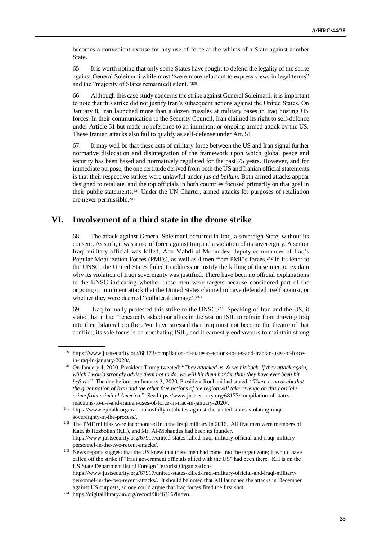becomes a convenient excuse for any use of force at the whims of a State against another State.

65. It is worth noting that only some States have sought to defend the legality of the strike against General Soleimani while most "were more reluctant to express views in legal terms" and the "majority of States remain(ed) silent."<sup>239</sup>

66. Although this case study concerns the strike against General Soleimani, it is important to note that this strike did not justify Iran's subsequent actions against the United States. On January 8, Iran launched more than a dozen missiles at military bases in Iraq hosting US forces. In their communication to the Security Council, Iran claimed its right to self-defence under Article 51 but made no reference to an imminent or ongoing armed attack by the US. These Iranian attacks also fail to qualify as self-defense under Art. 51.

67. It may well be that these acts of military force between the US and Iran signal further normative dislocation and disintegration of the framework upon which global peace and security has been based and normatively regulated for the past 75 years. However, and for immediate purpose, the one certitude derived from both the US and Iranian official statements is that their respective strikes were unlawful under *jus ad bellum*. Both armed attacks appear designed to retaliate, and the top officials in both countries focused primarily on that goal in their public statements.<sup>240</sup> Under the UN Charter, armed attacks for purposes of retaliation are never permissible.<sup>241</sup>

### **VI. Involvement of a third state in the drone strike**

68. The attack against General Soleimani occurred in Iraq, a sovereign State, without its consent. As such, it was a use of force against Iraq and a violation of its sovereignty. A senior Iraqi military official was killed, Abu Mahdi al-Mohandes, deputy commander of Iraq's Popular Mobilization Forces (PMFs), as well as 4 men from PMF's forces.<sup>242</sup> In its letter to the UNSC, the United States failed to address or justify the killing of these men or explain why its violation of Iraqi sovereignty was justified. There have been no official explanations to the UNSC indicating whether these men were targets because considered part of the ongoing or imminent attack that the United States claimed to have defended itself against, or whether they were deemed "collateral damage".<sup>243</sup>

69. Iraq formally protested this strike to the UNSC.<sup>244</sup> Speaking of Iran and the US, it stated that it had "repeatedly asked our allies in the war on ISIL to refrain from drawing Iraq into their bilateral conflict. We have stressed that Iraq must not become the theatre of that conflict; its sole focus is on combating ISIL, and it earnestly endeavours to maintain strong

<sup>239</sup> [https://www.justsecurity.org/68173/compilation-of-states-reactions-to-u-s-and-iranian-uses-of-force](https://www.justsecurity.org/68173/compilation-of-states-reactions-to-u-s-and-iranian-uses-of-force-in-iraq-in-january-2020/)[in-iraq-in-january-2020/.](https://www.justsecurity.org/68173/compilation-of-states-reactions-to-u-s-and-iranian-uses-of-force-in-iraq-in-january-2020/)

<sup>240</sup> On January 4, 2020, President Trump tweeted: "*They attacked us, & we hit back. If they attack again, which I would strongly advise them not to do, we will hit them harder than they have ever been hit before!"* The day before, on January 3, 2020, President Rouhani had stated: "*There is no doubt that the great nation of Iran and the other free nations of the region will take revenge on this horrible crime from criminal America.*" Se[e https://www.justsecurity.org/68173/compilation-of-states](https://www.justsecurity.org/68173/compilation-of-states-reactions-to-u-s-and-iranian-uses-of-force-in-iraq-in-january-2020/)[reactions-to-u-s-and-iranian-uses-of-force-in-iraq-in-january-2020/.](https://www.justsecurity.org/68173/compilation-of-states-reactions-to-u-s-and-iranian-uses-of-force-in-iraq-in-january-2020/)

<sup>241</sup> [https://www.ejiltalk.org/iran-unlawfully-retaliates-against-the-united-states-violating-iraqi](https://www.ejiltalk.org/iran-unlawfully-retaliates-against-the-united-states-violating-iraqi-sovereignty-in-the-process/)[sovereignty-in-the-process/.](https://www.ejiltalk.org/iran-unlawfully-retaliates-against-the-united-states-violating-iraqi-sovereignty-in-the-process/)

<sup>&</sup>lt;sup>242</sup> The PMF militias were incorporated into the Iraqi military in 2016. All five men were members of Kata'ib Hezbollah (KH), and Mr. Al-Mohandes had been its founder. [https://www.justsecurity.org/67917/united-states-killed-iraqi-military-official-and-iraqi-military](https://www.justsecurity.org/67917/united-states-killed-iraqi-military-official-and-iraqi-military-personnel-in-the-two-recent-attacks/)[personnel-in-the-two-recent-attacks/.](https://www.justsecurity.org/67917/united-states-killed-iraqi-military-official-and-iraqi-military-personnel-in-the-two-recent-attacks/) 

<sup>&</sup>lt;sup>243</sup> News reports suggest that the US knew that these men had come into the target zone; it would have called off the strike if "Iraqi government officials allied with the US" had been there. KH is on the US State Department list of Foreign Terrorist Organizations. [https://www.justsecurity.org/67917/united-states-killed-iraqi-military-official-and-iraqi-military](https://www.justsecurity.org/67917/united-states-killed-iraqi-military-official-and-iraqi-military-personnel-in-the-two-recent-attacks/)[personnel-in-the-two-recent-attacks/.](https://www.justsecurity.org/67917/united-states-killed-iraqi-military-official-and-iraqi-military-personnel-in-the-two-recent-attacks/) It should be noted that KH launched the attacks in December against US outposts, so one could argue that Iraq forces fired the first shot.

<sup>244</sup> [https://digitallibrary.un.org/record/3846366?ln=en.](https://digitallibrary.un.org/record/3846366?ln=en)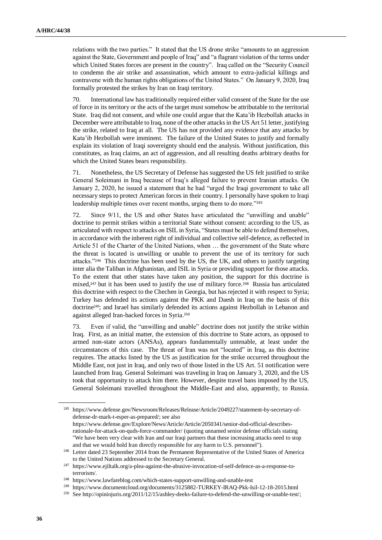relations with the two parties." It stated that the US drone strike "amounts to an aggression against the State, Government and people of Iraq" and "a flagrant violation of the terms under which United States forces are present in the country". Iraq called on the "Security Council to condemn the air strike and assassination, which amount to extra-judicial killings and contravene with the human rights obligations of the United States." On January 9, 2020, Iraq formally protested the strikes by Iran on Iraqi territory.

70. International law has traditionally required either valid consent of the State for the use of force in its territory or the acts of the target must somehow be attributable to the territorial State. Iraq did not consent, and while one could argue that the Kata'ib Hezbollah attacks in December were attributable to Iraq, none of the other attacks in the US Art 51 letter, justifying the strike, related to Iraq at all. The US has not provided any evidence that any attacks by Kata'ib Hezbollah were imminent. The failure of the United States to justify and formally explain its violation of Iraqi sovereignty should end the analysis. Without justification, this constitutes, as Iraq claims, an act of aggression, and all resulting deaths arbitrary deaths for which the United States bears responsibility.

71. Nonetheless, the US Secretary of Defense has suggested the US felt justified to strike General Soleimani in Iraq because of Iraq's alleged failure to prevent Iranian attacks. On January 2, 2020, he issued a statement that he had "urged the Iraqi government to take all necessary steps to protect American forces in their country. I personally have spoken to Iraqi leadership multiple times over recent months, urging them to do more."<sup>245</sup>

72. Since 9/11, the US and other States have articulated the "unwilling and unable" doctrine to permit strikes within a territorial State without consent: according to the US, as articulated with respect to attacks on ISIL in Syria, "States must be able to defend themselves, in accordance with the inherent right of individual and collective self-defence, as reflected in Article 51 of the Charter of the United Nations, when … the government of the State where the threat is located is unwilling or unable to prevent the use of its territory for such attacks."<sup>246</sup> This doctrine has been used by the US, the UK, and others to justify targeting inter alia the Taliban in Afghanistan, and ISIL in Syria or providing support for those attacks. To the extent that other states have taken any position, the support for this doctrine is mixed,<sup>247</sup> but it has been used to justify the use of military force.<sup>248</sup> Russia has articulated this doctrine with respect to the Chechen in Georgia, but has rejected it with respect to Syria; Turkey has defended its actions against the PKK and Daesh in Iraq on the basis of this doctrine249; and Israel has similarly defended its actions against Hezbollah in Lebanon and against alleged Iran-backed forces in Syria.<sup>250</sup>

73. Even if valid, the "unwilling and unable" doctrine does not justify the strike within Iraq. First, as an initial matter, the extension of this doctrine to State actors, as opposed to armed non-state actors (ANSAs), appears fundamentally untenable, at least under the circumstances of this case. The threat of Iran was not "located" in Iraq, as this doctrine requires. The attacks listed by the US as justification for the strike occurred throughout the Middle East, not just in Iraq, and only two of those listed in the US Art. 51 notification were launched from Iraq. General Soleimani was traveling in Iraq on January 3, 2020, and the US took that opportunity to attack him there. However, despite travel bans imposed by the US, General Soleimani travelled throughout the Middle-East and also, apparently, to Russia.

<sup>245</sup> [https://www.defense.gov/Newsroom/Releases/Release/Article/2049227/statement-by-secretary-of](https://www.defense.gov/Newsroom/Releases/Release/Article/2049227/statement-by-secretary-of-defense-dr-mark-t-esper-as-prepared/)[defense-dr-mark-t-esper-as-prepared/;](https://www.defense.gov/Newsroom/Releases/Release/Article/2049227/statement-by-secretary-of-defense-dr-mark-t-esper-as-prepared/) see also [https://www.defense.gov/Explore/News/Article/Article/2050341/senior-dod-official-describes](https://www.defense.gov/Explore/News/Article/Article/2050341/senior-dod-official-describes-rationale-for-attack-on-quds-force-commander/)[rationale-for-attack-on-quds-force-commander/](https://www.defense.gov/Explore/News/Article/Article/2050341/senior-dod-official-describes-rationale-for-attack-on-quds-force-commander/) (quoting unnamed senior defense officials stating "We have been very clear with Iran and our Iraqi partners that these increasing attacks need to stop and that we would hold Iran directly responsible for any harm to U.S. personnel").

<sup>246</sup> Letter dated 23 September 2014 from the Permanent Representative of the United States of America to the United Nations addressed to the Secretary General.

<sup>247</sup> https://www.ejiltalk.org/a-plea-against-the-abusive-invocation-of-self-defence-as-a-response-toterrorism/.

<sup>248</sup> <https://www.lawfareblog.com/which-states-support-unwilling-and-unable-test>

<sup>249</sup> <https://www.documentcloud.org/documents/3125882-TURKEY-IRAQ-Pkk-Isil-12-18-2015.html>

<sup>250</sup> Se[e http://opiniojuris.org/2011/12/15/ashley-deeks-failure-to-defend-the-unwilling-or-unable-test/;](http://opiniojuris.org/2011/12/15/ashley-deeks-failure-to-defend-the-unwilling-or-unable-test/)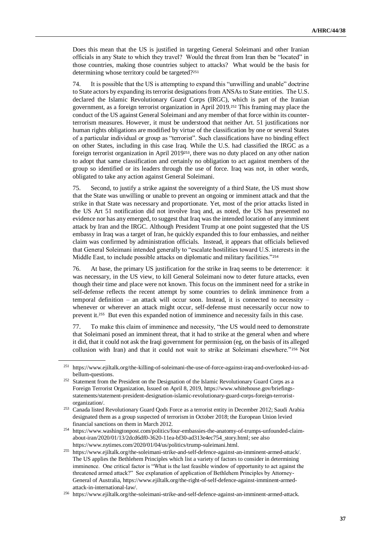Does this mean that the US is justified in targeting General Soleimani and other Iranian officials in any State to which they travel? Would the threat from Iran then be "located" in those countries, making those countries subject to attacks? What would be the basis for determining whose territory could be targeted?<sup>251</sup>

74. It is possible that the US is attempting to expand this "unwilling and unable" doctrine to State actors by expanding its terrorist designations from ANSAs to State entities. The U.S. declared the Islamic Revolutionary Guard Corps (IRGC), which is part of the Iranian government, as a foreign terrorist organization in April 2019.<sup>252</sup> This framing may place the conduct of the US against General Soleimani and any member of that force within its counterterrorism measures. However, it must be understood that neither Art. 51 justifications nor human rights obligations are modified by virtue of the classification by one or several States of a particular individual or group as "terrorist". Such classifications have no binding effect on other States, including in this case Iraq. While the U.S. had classified the IRGC as a foreign terrorist organization in April 2019253, there was no duty placed on any other nation to adopt that same classification and certainly no obligation to act against members of the group so identified or its leaders through the use of force. Iraq was not, in other words, obligated to take any action against General Soleimani.

75. Second, to justify a strike against the sovereignty of a third State, the US must show that the State was unwilling or unable to prevent an ongoing or imminent attack and that the strike in that State was necessary and proportionate. Yet, most of the prior attacks listed in the US Art 51 notification did not involve Iraq and, as noted, the US has presented no evidence nor has any emerged, to suggest that Iraq was the intended location of any imminent attack by Iran and the IRGC. Although President Trump at one point suggested that the US embassy in Iraq was a target of Iran, he quickly expanded this to four embassies, and neither claim was confirmed by administration officials. Instead, it appears that officials believed that General Soleimani intended generally to "escalate hostilities toward U.S. interests in the Middle East, to include possible attacks on diplomatic and military facilities."254

76. At base, the primary US justification for the strike in Iraq seems to be deterrence: it was necessary, in the US view, to kill General Soleimani now to deter future attacks, even though their time and place were not known. This focus on the imminent need for a strike in self-defense reflects the recent attempt by some countries to delink imminence from a temporal definition – an attack will occur soon. Instead, it is connected to necessity – whenever or wherever an attack might occur, self-defense must necessarily occur now to prevent it.<sup>255</sup> But even this expanded notion of imminence and necessity fails in this case.

77. To make this claim of imminence and necessity, "the US would need to demonstrate that Soleimani posed an imminent threat, that it had to strike at the general when and where it did, that it could not ask the Iraqi government for permission (eg, on the basis of its alleged collusion with Iran) and that it could not wait to strike at Soleimani elsewhere." <sup>256</sup> Not

<sup>251</sup> https://www.ejiltalk.org/the-killing-of-soleimani-the-use-of-force-against-iraq-and-overlooked-ius-adbellum-questions.

<sup>&</sup>lt;sup>252</sup> Statement from the President on the Designation of the Islamic Revolutionary Guard Corps as a Foreign Terrorist Organization, Issued on April 8, 2019, [https://www.whitehouse.gov/briefings](https://www.whitehouse.gov/briefings-statements/statement-president-designation-islamic-revolutionary-guard-corps-foreign-terrorist-organization/)[statements/statement-president-designation-islamic-revolutionary-guard-corps-foreign-terrorist](https://www.whitehouse.gov/briefings-statements/statement-president-designation-islamic-revolutionary-guard-corps-foreign-terrorist-organization/)[organization/.](https://www.whitehouse.gov/briefings-statements/statement-president-designation-islamic-revolutionary-guard-corps-foreign-terrorist-organization/)

<sup>&</sup>lt;sup>253</sup> Canada listed Revolutionary Guard Qods Force as a terrorist entity in December 2012; Saudi Arabia designated them as a group suspected of terrorism in October 2018; the European Union levied financial sanctions on them in March 2012.

<sup>254</sup> [https://www.washingtonpost.com/politics/four-embassies-the-anatomy-of-trumps-unfounded-claim](https://www.washingtonpost.com/politics/four-embassies-the-anatomy-of-trumps-unfounded-claim-about-iran/2020/01/13/2dcd6df0-3620-11ea-bf30-ad313e4ec754_story.html)[about-iran/2020/01/13/2dcd6df0-3620-11ea-bf30-ad313e4ec754\\_story.html;](https://www.washingtonpost.com/politics/four-embassies-the-anatomy-of-trumps-unfounded-claim-about-iran/2020/01/13/2dcd6df0-3620-11ea-bf30-ad313e4ec754_story.html) see also [https://www.nytimes.com/2020/01/04/us/politics/trump-suleimani.html.](https://www.nytimes.com/2020/01/04/us/politics/trump-suleimani.html)

<sup>255</sup> [https://www.ejiltalk.org/the-soleimani-strike-and-self-defence-against-an-imminent-armed-attack/.](https://www.ejiltalk.org/the-soleimani-strike-and-self-defence-against-an-imminent-armed-attack/) The US applies the Bethlehem Principles which list a variety of factors to consider in determining imminence. One critical factor is "What is the last feasible window of opportunity to act against the threatened armed attack?" See explanation of application of Bethlehem Principles by Attorney-General of Australia, [https://www.ejiltalk.org/the-right-of-self-defence-against-imminent-armed](https://www.ejiltalk.org/the-right-of-self-defence-against-imminent-armed-attack-in-international-law/)[attack-in-international-law/.](https://www.ejiltalk.org/the-right-of-self-defence-against-imminent-armed-attack-in-international-law/)

<sup>256</sup> [https://www.ejiltalk.org/the-soleimani-strike-and-self-defence-against-an-imminent-armed-attack.](https://www.ejiltalk.org/the-soleimani-strike-and-self-defence-against-an-imminent-armed-attack)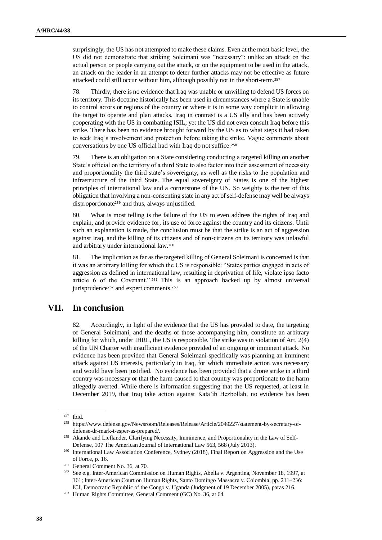surprisingly, the US has not attempted to make these claims. Even at the most basic level, the US did not demonstrate that striking Soleimani was "necessary": unlike an attack on the actual person or people carrying out the attack, or on the equipment to be used in the attack, an attack on the leader in an attempt to deter further attacks may not be effective as future attacked could still occur without him, although possibly not in the short-term.<sup>257</sup>

78. Thirdly, there is no evidence that Iraq was unable or unwilling to defend US forces on its territory. This doctrine historically has been used in circumstances where a State is unable to control actors or regions of the country or where it is in some way complicit in allowing the target to operate and plan attacks. Iraq in contrast is a US ally and has been actively cooperating with the US in combatting ISIL; yet the US did not even consult Iraq before this strike. There has been no evidence brought forward by the US as to what steps it had taken to seek Iraq's involvement and protection before taking the strike. Vague comments about conversations by one US official had with Iraq do not suffice.<sup>258</sup>

79. There is an obligation on a State considering conducting a targeted killing on another State's official on the territory of a third State to also factor into their assessment of necessity and proportionality the third state's sovereignty, as well as the risks to the population and infrastructure of the third State. The equal sovereignty of States is one of the highest principles of international law and a cornerstone of the UN. So weighty is the test of this obligation that involving a non-consenting state in any act of self-defense may well be always disproportionate<sup>259</sup> and thus, always unjustified.

80. What is most telling is the failure of the US to even address the rights of Iraq and explain, and provide evidence for, its use of force against the country and its citizens. Until such an explanation is made, the conclusion must be that the strike is an act of aggression against Iraq, and the killing of its citizens and of non-citizens on its territory was unlawful and arbitrary under international law.<sup>260</sup>

81. The implication as far as the targeted killing of General Soleimani is concerned is that it was an arbitrary killing for which the US is responsible: "States parties engaged in acts of aggression as defined in international law, resulting in deprivation of life, violate ipso facto article 6 of the Covenant." <sup>261</sup> This is an approach backed up by almost universal jurisprudence<sup>262</sup> and expert comments.<sup>263</sup>

### **VII. In conclusion**

82. Accordingly, in light of the evidence that the US has provided to date, the targeting of General Soleimani, and the deaths of those accompanying him, constitute an arbitrary killing for which, under IHRL, the US is responsible. The strike was in violation of Art. 2(4) of the UN Charter with insufficient evidence provided of an ongoing or imminent attack. No evidence has been provided that General Soleimani specifically was planning an imminent attack against US interests, particularly in Iraq, for which immediate action was necessary and would have been justified. No evidence has been provided that a drone strike in a third country was necessary or that the harm caused to that country was proportionate to the harm allegedly averted. While there is information suggesting that the US requested, at least in December 2019, that Iraq take action against Kata'ib Hezbollah, no evidence has been

<sup>257</sup> Ibid.

<sup>258</sup> [https://www.defense.gov/Newsroom/Releases/Release/Article/2049227/statement-by-secretary-of](https://www.defense.gov/Newsroom/Releases/Release/Article/2049227/statement-by-secretary-of-defense-dr-mark-t-esper-as-prepared/)[defense-dr-mark-t-esper-as-prepared/.](https://www.defense.gov/Newsroom/Releases/Release/Article/2049227/statement-by-secretary-of-defense-dr-mark-t-esper-as-prepared/)

<sup>&</sup>lt;sup>259</sup> Akande and Liefländer, Clarifying Necessity, Imminence, and Proportionality in the Law of Self-Defense, 107 The American Journal of International Law 563, 568 (July 2013).

<sup>&</sup>lt;sup>260</sup> International Law Association Conference, Sydney (2018), Final Report on Aggression and the Use of Force, p. 16.

<sup>261</sup> General Comment No. 36, at 70.

<sup>262</sup> See e.g. Inter-American Commission on Human Rights, Abella v. Argentina, November 18, 1997, at 161; Inter-American Court on Human Rights, Santo Domingo Massacre v. Colombia, pp. 211–236; ICJ, Democratic Republic of the Congo v. Uganda (Judgment of 19 December 2005), paras 216.

<sup>263</sup> Human Rights Committee, General Comment (GC) No. 36, at 64.